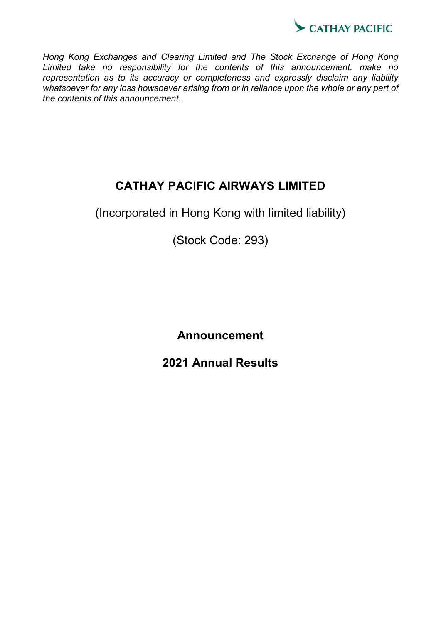

*Hong Kong Exchanges and Clearing Limited and The Stock Exchange of Hong Kong Limited take no responsibility for the contents of this announcement, make no representation as to its accuracy or completeness and expressly disclaim any liability whatsoever for any loss howsoever arising from or in reliance upon the whole or any part of the contents of this announcement.*

# **CATHAY PACIFIC AIRWAYS LIMITED**

(Incorporated in Hong Kong with limited liability)

(Stock Code: 293)

**Announcement**

**2021 Annual Results**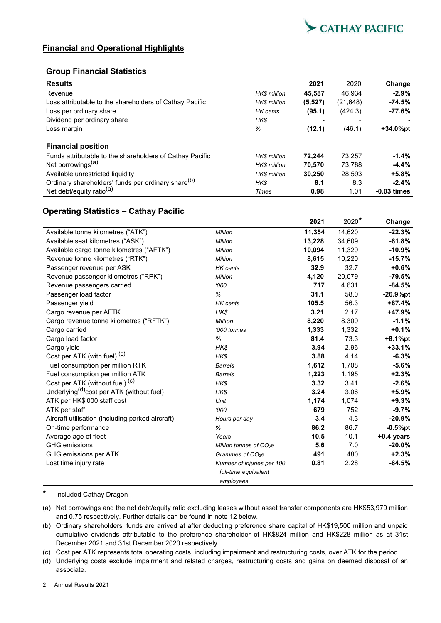

## **Financial and Operational Highlights**

## **Group Financial Statistics**

| <b>Results</b>                                                 |                    | 2021     | 2020      | Change                   |
|----------------------------------------------------------------|--------------------|----------|-----------|--------------------------|
| Revenue                                                        | <b>HKS</b> million | 45,587   | 46.934    | $-2.9\%$                 |
| Loss attributable to the shareholders of Cathay Pacific        | <b>HKS</b> million | (5, 527) | (21, 648) | $-74.5%$                 |
| Loss per ordinary share                                        | HK cents           | (95.1)   | (424.3)   | $-77.6%$                 |
| Dividend per ordinary share                                    | HK\$               | ٠        |           | $\overline{\phantom{0}}$ |
| Loss margin                                                    | %                  | (12.1)   | (46.1)    | +34.0%pt                 |
| <b>Financial position</b>                                      |                    |          |           |                          |
| Funds attributable to the shareholders of Cathay Pacific       | <b>HKS</b> million | 72.244   | 73.257    | $-1.4\%$                 |
| Net borrowings <sup>(a)</sup>                                  | <b>HKS</b> million | 70.570   | 73.788    | $-4.4%$                  |
| Available unrestricted liquidity                               | <b>HKS</b> million | 30.250   | 28.593    | $+5.8%$                  |
| Ordinary shareholders' funds per ordinary share <sup>(b)</sup> | HK\$               | 8.1      | 8.3       | $-2.4%$                  |
| Net debt/equity ratio <sup>(a)</sup>                           | Times              | 0.98     | 1.01      | $-0.03$ times            |

## **Operating Statistics – Cathay Pacific**

|                                                       |                              | 2021   | $2020*$ | Change       |
|-------------------------------------------------------|------------------------------|--------|---------|--------------|
| Available tonne kilometres ("ATK")                    | Million                      | 11,354 | 14,620  | $-22.3%$     |
| Available seat kilometres ("ASK")                     | Million                      | 13,228 | 34,609  | $-61.8%$     |
| Available cargo tonne kilometres ("AFTK")             | Million                      | 10,094 | 11,329  | $-10.9%$     |
| Revenue tonne kilometres ("RTK")                      | Million                      | 8,615  | 10,220  | $-15.7%$     |
| Passenger revenue per ASK                             | <b>HK</b> cents              | 32.9   | 32.7    | $+0.6%$      |
| Revenue passenger kilometres ("RPK")                  | Million                      | 4,120  | 20,079  | $-79.5%$     |
| Revenue passengers carried                            | 000'                         | 717    | 4,631   | $-84.5%$     |
| Passenger load factor                                 | %                            | 31.1   | 58.0    | $-26.9%$ pt  |
| Passenger yield                                       | HK cents                     | 105.5  | 56.3    | $+87.4%$     |
| Cargo revenue per AFTK                                | HK\$                         | 3.21   | 2.17    | +47.9%       |
| Cargo revenue tonne kilometres ("RFTK")               | Million                      | 8,220  | 8,309   | $-1.1%$      |
| Cargo carried                                         | '000 tonnes                  | 1,333  | 1,332   | $+0.1%$      |
| Cargo load factor                                     | %                            | 81.4   | 73.3    | $+8.1%$ pt   |
| Cargo yield                                           | HK\$                         | 3.94   | 2.96    | $+33.1%$     |
| Cost per ATK (with fuel) <sup>(c)</sup>               | HK\$                         | 3.88   | 4.14    | $-6.3%$      |
| Fuel consumption per million RTK                      | <b>Barrels</b>               | 1,612  | 1,708   | $-5.6%$      |
| Fuel consumption per million ATK                      | <b>Barrels</b>               | 1,223  | 1,195   | $+2.3%$      |
| Cost per ATK (without fuel) <sup>(C)</sup>            | HK\$                         | 3.32   | 3.41    | $-2.6%$      |
| Underlying <sup>(d)</sup> cost per ATK (without fuel) | HK\$                         | 3.24   | 3.06    | $+5.9%$      |
| ATK per HK\$'000 staff cost                           | Unit                         | 1,174  | 1,074   | $+9.3%$      |
| ATK per staff                                         | 000'                         | 679    | 752     | $-9.7%$      |
| Aircraft utilisation (including parked aircraft)      | Hours per day                | 3.4    | 4.3     | $-20.9%$     |
| On-time performance                                   | %                            | 86.2   | 86.7    | $-0.5%$ pt   |
| Average age of fleet                                  | Years                        | 10.5   | 10.1    | $+0.4$ years |
| <b>GHG</b> emissions                                  | Million tonnes of $CO2e$     | 5.6    | 7.0     | $-20.0%$     |
| GHG emissions per ATK                                 | Grammes of CO <sub>2</sub> e | 491    | 480     | $+2.3%$      |
| Lost time injury rate                                 | Number of injuries per 100   | 0.81   | 2.28    | $-64.5%$     |
|                                                       | full-time equivalent         |        |         |              |
|                                                       | employees                    |        |         |              |

\* Included Cathay Dragon

(a) Net borrowings and the net debt/equity ratio excluding leases without asset transfer components are HK\$53,979 million and 0.75 respectively. Further details can be found in note 12 below.

(b) Ordinary shareholders' funds are arrived at after deducting preference share capital of HK\$19,500 million and unpaid cumulative dividends attributable to the preference shareholder of HK\$824 million and HK\$228 million as at 31st December 2021 and 31st December 2020 respectively.

(c) Cost per ATK represents total operating costs, including impairment and restructuring costs, over ATK for the period.

(d) Underlying costs exclude impairment and related charges, restructuring costs and gains on deemed disposal of an associate.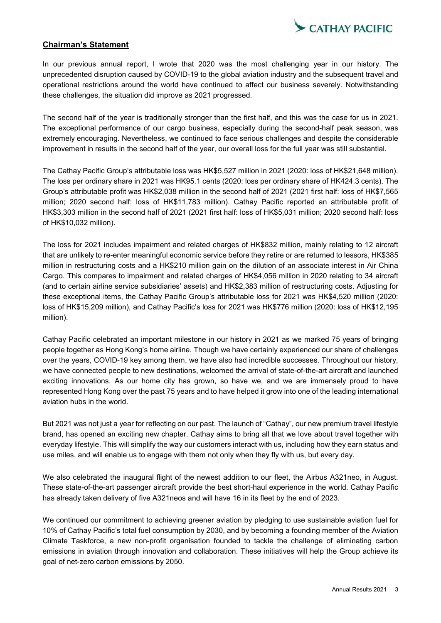

## **Chairman's Statement**

In our previous annual report, I wrote that 2020 was the most challenging year in our history. The unprecedented disruption caused by COVID-19 to the global aviation industry and the subsequent travel and operational restrictions around the world have continued to affect our business severely. Notwithstanding these challenges, the situation did improve as 2021 progressed.

The second half of the year is traditionally stronger than the first half, and this was the case for us in 2021. The exceptional performance of our cargo business, especially during the second-half peak season, was extremely encouraging. Nevertheless, we continued to face serious challenges and despite the considerable improvement in results in the second half of the year, our overall loss for the full year was still substantial.

The Cathay Pacific Group's attributable loss was HK\$5,527 million in 2021 (2020: loss of HK\$21,648 million). The loss per ordinary share in 2021 was HK95.1 cents (2020: loss per ordinary share of HK424.3 cents). The Group's attributable profit was HK\$2,038 million in the second half of 2021 (2021 first half: loss of HK\$7,565 million; 2020 second half: loss of HK\$11,783 million). Cathay Pacific reported an attributable profit of HK\$3,303 million in the second half of 2021 (2021 first half: loss of HK\$5,031 million; 2020 second half: loss of HK\$10,032 million).

The loss for 2021 includes impairment and related charges of HK\$832 million, mainly relating to 12 aircraft that are unlikely to re-enter meaningful economic service before they retire or are returned to lessors, HK\$385 million in restructuring costs and a HK\$210 million gain on the dilution of an associate interest in Air China Cargo. This compares to impairment and related charges of HK\$4,056 million in 2020 relating to 34 aircraft (and to certain airline service subsidiaries' assets) and HK\$2,383 million of restructuring costs. Adjusting for these exceptional items, the Cathay Pacific Group's attributable loss for 2021 was HK\$4,520 million (2020: loss of HK\$15,209 million), and Cathay Pacific's loss for 2021 was HK\$776 million (2020: loss of HK\$12,195 million).

Cathay Pacific celebrated an important milestone in our history in 2021 as we marked 75 years of bringing people together as Hong Kong's home airline. Though we have certainly experienced our share of challenges over the years, COVID-19 key among them, we have also had incredible successes. Throughout our history, we have connected people to new destinations, welcomed the arrival of state-of-the-art aircraft and launched exciting innovations. As our home city has grown, so have we, and we are immensely proud to have represented Hong Kong over the past 75 years and to have helped it grow into one of the leading international aviation hubs in the world.

But 2021 was not just a year for reflecting on our past. The launch of "Cathay", our new premium travel lifestyle brand, has opened an exciting new chapter. Cathay aims to bring all that we love about travel together with everyday lifestyle. This will simplify the way our customers interact with us, including how they earn status and use miles, and will enable us to engage with them not only when they fly with us, but every day.

We also celebrated the inaugural flight of the newest addition to our fleet, the Airbus A321neo, in August. These state-of-the-art passenger aircraft provide the best short-haul experience in the world. Cathay Pacific has already taken delivery of five A321neos and will have 16 in its fleet by the end of 2023.

We continued our commitment to achieving greener aviation by pledging to use sustainable aviation fuel for 10% of Cathay Pacific's total fuel consumption by 2030, and by becoming a founding member of the Aviation Climate Taskforce, a new non-profit organisation founded to tackle the challenge of eliminating carbon emissions in aviation through innovation and collaboration. These initiatives will help the Group achieve its goal of net-zero carbon emissions by 2050.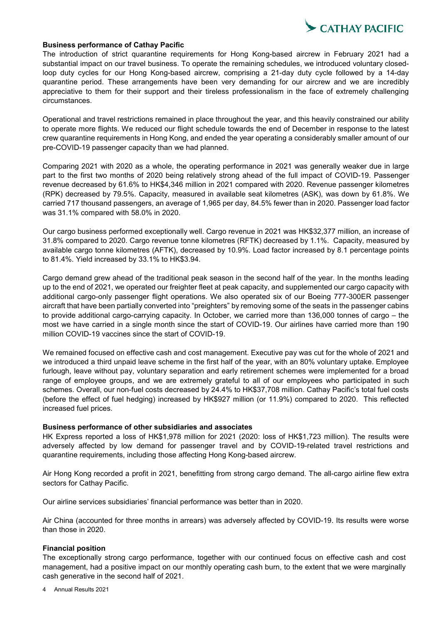

### **Business performance of Cathay Pacific**

The introduction of strict quarantine requirements for Hong Kong-based aircrew in February 2021 had a substantial impact on our travel business. To operate the remaining schedules, we introduced voluntary closedloop duty cycles for our Hong Kong-based aircrew, comprising a 21-day duty cycle followed by a 14-day quarantine period. These arrangements have been very demanding for our aircrew and we are incredibly appreciative to them for their support and their tireless professionalism in the face of extremely challenging circumstances.

Operational and travel restrictions remained in place throughout the year, and this heavily constrained our ability to operate more flights. We reduced our flight schedule towards the end of December in response to the latest crew quarantine requirements in Hong Kong, and ended the year operating a considerably smaller amount of our pre-COVID-19 passenger capacity than we had planned.

Comparing 2021 with 2020 as a whole, the operating performance in 2021 was generally weaker due in large part to the first two months of 2020 being relatively strong ahead of the full impact of COVID-19. Passenger revenue decreased by 61.6% to HK\$4,346 million in 2021 compared with 2020. Revenue passenger kilometres (RPK) decreased by 79.5%. Capacity, measured in available seat kilometres (ASK), was down by 61.8%. We carried 717 thousand passengers, an average of 1,965 per day, 84.5% fewer than in 2020. Passenger load factor was 31.1% compared with 58.0% in 2020.

Our cargo business performed exceptionally well. Cargo revenue in 2021 was HK\$32,377 million, an increase of 31.8% compared to 2020. Cargo revenue tonne kilometres (RFTK) decreased by 1.1%. Capacity, measured by available cargo tonne kilometres (AFTK), decreased by 10.9%. Load factor increased by 8.1 percentage points to 81.4%. Yield increased by 33.1% to HK\$3.94.

Cargo demand grew ahead of the traditional peak season in the second half of the year. In the months leading up to the end of 2021, we operated our freighter fleet at peak capacity, and supplemented our cargo capacity with additional cargo-only passenger flight operations. We also operated six of our Boeing 777-300ER passenger aircraft that have been partially converted into "preighters" by removing some of the seats in the passenger cabins to provide additional cargo-carrying capacity. In October, we carried more than 136,000 tonnes of cargo – the most we have carried in a single month since the start of COVID-19. Our airlines have carried more than 190 million COVID-19 vaccines since the start of COVID-19.

We remained focused on effective cash and cost management. Executive pay was cut for the whole of 2021 and we introduced a third unpaid leave scheme in the first half of the year, with an 80% voluntary uptake. Employee furlough, leave without pay, voluntary separation and early retirement schemes were implemented for a broad range of employee groups, and we are extremely grateful to all of our employees who participated in such schemes. Overall, our non-fuel costs decreased by 24.4% to HK\$37,708 million. Cathay Pacific's total fuel costs (before the effect of fuel hedging) increased by HK\$927 million (or 11.9%) compared to 2020. This reflected increased fuel prices.

### **Business performance of other subsidiaries and associates**

HK Express reported a loss of HK\$1,978 million for 2021 (2020: loss of HK\$1,723 million). The results were adversely affected by low demand for passenger travel and by COVID-19-related travel restrictions and quarantine requirements, including those affecting Hong Kong-based aircrew.

Air Hong Kong recorded a profit in 2021, benefitting from strong cargo demand. The all-cargo airline flew extra sectors for Cathay Pacific.

Our airline services subsidiaries' financial performance was better than in 2020.

Air China (accounted for three months in arrears) was adversely affected by COVID-19. Its results were worse than those in 2020.

### **Financial position**

The exceptionally strong cargo performance, together with our continued focus on effective cash and cost management, had a positive impact on our monthly operating cash burn, to the extent that we were marginally cash generative in the second half of 2021.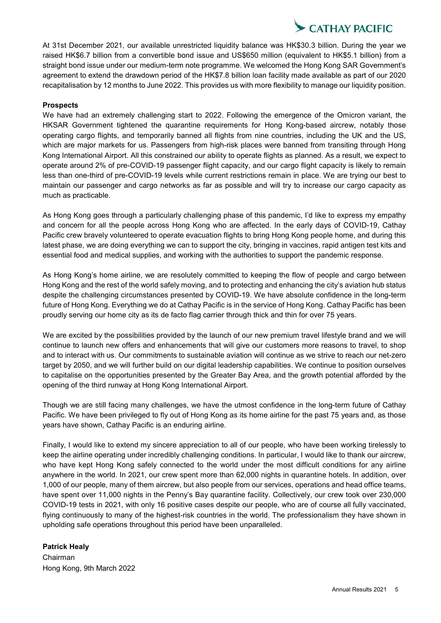At 31st December 2021, our available unrestricted liquidity balance was HK\$30.3 billion. During the year we raised HK\$6.7 billion from a convertible bond issue and US\$650 million (equivalent to HK\$5.1 billion) from a straight bond issue under our medium-term note programme. We welcomed the Hong Kong SAR Government's agreement to extend the drawdown period of the HK\$7.8 billion loan facility made available as part of our 2020 recapitalisation by 12 months to June 2022. This provides us with more flexibility to manage our liquidity position.

### **Prospects**

We have had an extremely challenging start to 2022. Following the emergence of the Omicron variant, the HKSAR Government tightened the quarantine requirements for Hong Kong-based aircrew, notably those operating cargo flights, and temporarily banned all flights from nine countries, including the UK and the US, which are major markets for us. Passengers from high-risk places were banned from transiting through Hong Kong International Airport. All this constrained our ability to operate flights as planned. As a result, we expect to operate around 2% of pre-COVID-19 passenger flight capacity, and our cargo flight capacity is likely to remain less than one-third of pre-COVID-19 levels while current restrictions remain in place. We are trying our best to maintain our passenger and cargo networks as far as possible and will try to increase our cargo capacity as much as practicable.

As Hong Kong goes through a particularly challenging phase of this pandemic, I'd like to express my empathy and concern for all the people across Hong Kong who are affected. In the early days of COVID-19, Cathay Pacific crew bravely volunteered to operate evacuation flights to bring Hong Kong people home, and during this latest phase, we are doing everything we can to support the city, bringing in vaccines, rapid antigen test kits and essential food and medical supplies, and working with the authorities to support the pandemic response.

As Hong Kong's home airline, we are resolutely committed to keeping the flow of people and cargo between Hong Kong and the rest of the world safely moving, and to protecting and enhancing the city's aviation hub status despite the challenging circumstances presented by COVID-19. We have absolute confidence in the long-term future of Hong Kong. Everything we do at Cathay Pacific is in the service of Hong Kong. Cathay Pacific has been proudly serving our home city as its de facto flag carrier through thick and thin for over 75 years.

We are excited by the possibilities provided by the launch of our new premium travel lifestyle brand and we will continue to launch new offers and enhancements that will give our customers more reasons to travel, to shop and to interact with us. Our commitments to sustainable aviation will continue as we strive to reach our net-zero target by 2050, and we will further build on our digital leadership capabilities. We continue to position ourselves to capitalise on the opportunities presented by the Greater Bay Area, and the growth potential afforded by the opening of the third runway at Hong Kong International Airport.

Though we are still facing many challenges, we have the utmost confidence in the long-term future of Cathay Pacific. We have been privileged to fly out of Hong Kong as its home airline for the past 75 years and, as those years have shown, Cathay Pacific is an enduring airline.

Finally, I would like to extend my sincere appreciation to all of our people, who have been working tirelessly to keep the airline operating under incredibly challenging conditions. In particular, I would like to thank our aircrew, who have kept Hong Kong safely connected to the world under the most difficult conditions for any airline anywhere in the world. In 2021, our crew spent more than 62,000 nights in quarantine hotels. In addition, over 1,000 of our people, many of them aircrew, but also people from our services, operations and head office teams, have spent over 11,000 nights in the Penny's Bay quarantine facility. Collectively, our crew took over 230,000 COVID-19 tests in 2021, with only 16 positive cases despite our people, who are of course all fully vaccinated, flying continuously to many of the highest-risk countries in the world. The professionalism they have shown in upholding safe operations throughout this period have been unparalleled.

## **Patrick Healy**

Chairman Hong Kong, 9th March 2022 **CATHAY PACIFIC**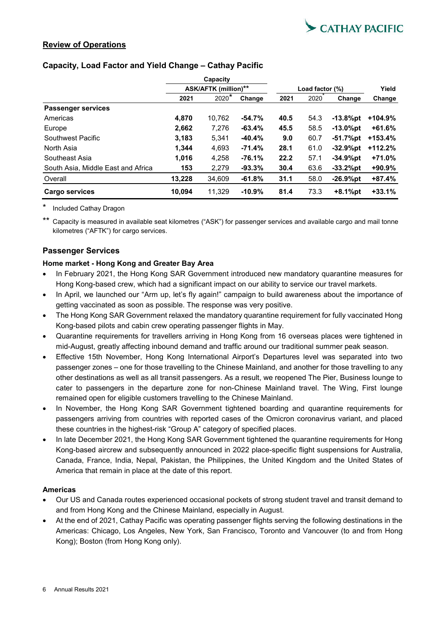

## **Review of Operations**

## **Capacity, Load Factor and Yield Change – Cathay Pacific**

|                                    | Capacity<br><b>ASK/AFTK (million)**</b> |         |          |                 |       |             |           |
|------------------------------------|-----------------------------------------|---------|----------|-----------------|-------|-------------|-----------|
|                                    |                                         |         |          | Load factor (%) | Yield |             |           |
|                                    | 2021                                    | $2020*$ | Change   | 2021            | 2020  | Change      | Change    |
| <b>Passenger services</b>          |                                         |         |          |                 |       |             |           |
| Americas                           | 4,870                                   | 10.762  | $-54.7%$ | 40.5            | 54.3  | $-13.8%$ pt | $+104.9%$ |
| Europe                             | 2,662                                   | 7.276   | $-63.4%$ | 45.5            | 58.5  | $-13.0%$ pt | $+61.6%$  |
| Southwest Pacific                  | 3,183                                   | 5.341   | $-40.4%$ | 9.0             | 60.7  | -51.7%pt    | $+153.4%$ |
| North Asia                         | 1.344                                   | 4.693   | $-71.4%$ | 28.1            | 61.0  | $-32.9%$ pt | $+112.2%$ |
| Southeast Asia                     | 1.016                                   | 4.258   | $-76.1%$ | 22.2            | 57.1  | $-34.9%$ pt | $+71.0%$  |
| South Asia, Middle East and Africa | 153                                     | 2.279   | $-93.3%$ | 30.4            | 63.6  | $-33.2%$ pt | $+90.9%$  |
| Overall                            | 13,228                                  | 34,609  | $-61.8%$ | 31.1            | 58.0  | $-26.9%$ pt | $+87.4%$  |
| <b>Cargo services</b>              | 10,094                                  | 11.329  | $-10.9%$ | 81.4            | 73.3  | $+8.1%$ pt  | $+33.1%$  |

Included Cathay Dragon

Capacity is measured in available seat kilometres ("ASK") for passenger services and available cargo and mail tonne kilometres ("AFTK") for cargo services.

## **Passenger Services**

### **Home market - Hong Kong and Greater Bay Area**

- In February 2021, the Hong Kong SAR Government introduced new mandatory quarantine measures for Hong Kong-based crew, which had a significant impact on our ability to service our travel markets.
- In April, we launched our "Arm up, let's fly again!" campaign to build awareness about the importance of getting vaccinated as soon as possible. The response was very positive.
- The Hong Kong SAR Government relaxed the mandatory quarantine requirement for fully vaccinated Hong Kong-based pilots and cabin crew operating passenger flights in May.
- Quarantine requirements for travellers arriving in Hong Kong from 16 overseas places were tightened in mid-August, greatly affecting inbound demand and traffic around our traditional summer peak season.
- Effective 15th November, Hong Kong International Airport's Departures level was separated into two passenger zones – one for those travelling to the Chinese Mainland, and another for those travelling to any other destinations as well as all transit passengers. As a result, we reopened The Pier, Business lounge to cater to passengers in the departure zone for non-Chinese Mainland travel. The Wing, First lounge remained open for eligible customers travelling to the Chinese Mainland.
- In November, the Hong Kong SAR Government tightened boarding and quarantine requirements for passengers arriving from countries with reported cases of the Omicron coronavirus variant, and placed these countries in the highest-risk "Group A" category of specified places.
- In late December 2021, the Hong Kong SAR Government tightened the quarantine requirements for Hong Kong-based aircrew and subsequently announced in 2022 place-specific flight suspensions for Australia, Canada, France, India, Nepal, Pakistan, the Philippines, the United Kingdom and the United States of America that remain in place at the date of this report.

### **Americas**

- Our US and Canada routes experienced occasional pockets of strong student travel and transit demand to and from Hong Kong and the Chinese Mainland, especially in August.
- At the end of 2021, Cathay Pacific was operating passenger flights serving the following destinations in the Americas: Chicago, Los Angeles, New York, San Francisco, Toronto and Vancouver (to and from Hong Kong); Boston (from Hong Kong only).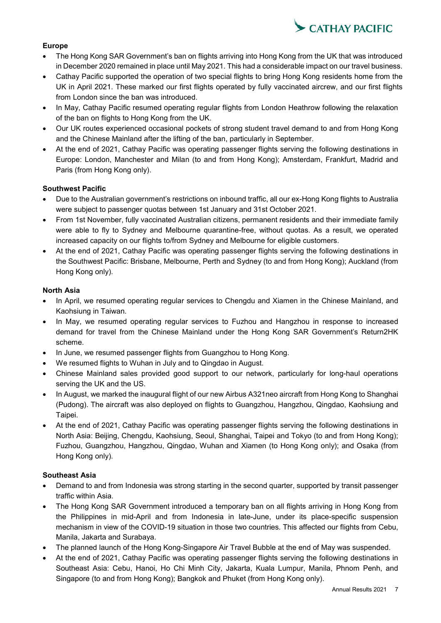

## **Europe**

- The Hong Kong SAR Government's ban on flights arriving into Hong Kong from the UK that was introduced in December 2020 remained in place until May 2021. This had a considerable impact on our travel business.
- Cathay Pacific supported the operation of two special flights to bring Hong Kong residents home from the UK in April 2021. These marked our first flights operated by fully vaccinated aircrew, and our first flights from London since the ban was introduced.
- In May, Cathay Pacific resumed operating regular flights from London Heathrow following the relaxation of the ban on flights to Hong Kong from the UK.
- Our UK routes experienced occasional pockets of strong student travel demand to and from Hong Kong and the Chinese Mainland after the lifting of the ban, particularly in September.
- At the end of 2021, Cathay Pacific was operating passenger flights serving the following destinations in Europe: London, Manchester and Milan (to and from Hong Kong); Amsterdam, Frankfurt, Madrid and Paris (from Hong Kong only).

## **Southwest Pacific**

- Due to the Australian government's restrictions on inbound traffic, all our ex-Hong Kong flights to Australia were subject to passenger quotas between 1st January and 31st October 2021.
- From 1st November, fully vaccinated Australian citizens, permanent residents and their immediate family were able to fly to Sydney and Melbourne quarantine-free, without quotas. As a result, we operated increased capacity on our flights to/from Sydney and Melbourne for eligible customers.
- At the end of 2021, Cathay Pacific was operating passenger flights serving the following destinations in the Southwest Pacific: Brisbane, Melbourne, Perth and Sydney (to and from Hong Kong); Auckland (from Hong Kong only).

## **North Asia**

- In April, we resumed operating regular services to Chengdu and Xiamen in the Chinese Mainland, and Kaohsiung in Taiwan.
- In May, we resumed operating regular services to Fuzhou and Hangzhou in response to increased demand for travel from the Chinese Mainland under the Hong Kong SAR Government's Return2HK scheme.
- In June, we resumed passenger flights from Guangzhou to Hong Kong.
- We resumed flights to Wuhan in July and to Qingdao in August.
- Chinese Mainland sales provided good support to our network, particularly for long-haul operations serving the UK and the US.
- In August, we marked the inaugural flight of our new Airbus A321 neo aircraft from Hong Kong to Shanghai (Pudong). The aircraft was also deployed on flights to Guangzhou, Hangzhou, Qingdao, Kaohsiung and Taipei.
- At the end of 2021, Cathay Pacific was operating passenger flights serving the following destinations in North Asia: Beijing, Chengdu, Kaohsiung, Seoul, Shanghai, Taipei and Tokyo (to and from Hong Kong); Fuzhou, Guangzhou, Hangzhou, Qingdao, Wuhan and Xiamen (to Hong Kong only); and Osaka (from Hong Kong only).

## **Southeast Asia**

- Demand to and from Indonesia was strong starting in the second quarter, supported by transit passenger traffic within Asia.
- The Hong Kong SAR Government introduced a temporary ban on all flights arriving in Hong Kong from the Philippines in mid-April and from Indonesia in late-June, under its place-specific suspension mechanism in view of the COVID-19 situation in those two countries. This affected our flights from Cebu, Manila, Jakarta and Surabaya.
- The planned launch of the Hong Kong-Singapore Air Travel Bubble at the end of May was suspended.
- At the end of 2021, Cathay Pacific was operating passenger flights serving the following destinations in Southeast Asia: Cebu, Hanoi, Ho Chi Minh City, Jakarta, Kuala Lumpur, Manila, Phnom Penh, and Singapore (to and from Hong Kong); Bangkok and Phuket (from Hong Kong only).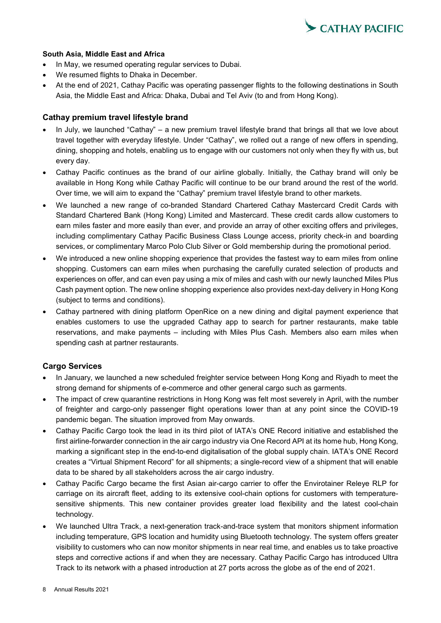

### **South Asia, Middle East and Africa**

- In May, we resumed operating regular services to Dubai.
- We resumed flights to Dhaka in December.
- At the end of 2021, Cathay Pacific was operating passenger flights to the following destinations in South Asia, the Middle East and Africa: Dhaka, Dubai and Tel Aviv (to and from Hong Kong).

### **Cathay premium travel lifestyle brand**

- In July, we launched "Cathay" a new premium travel lifestyle brand that brings all that we love about travel together with everyday lifestyle. Under "Cathay", we rolled out a range of new offers in spending, dining, shopping and hotels, enabling us to engage with our customers not only when they fly with us, but every day.
- Cathay Pacific continues as the brand of our airline globally. Initially, the Cathay brand will only be available in Hong Kong while Cathay Pacific will continue to be our brand around the rest of the world. Over time, we will aim to expand the "Cathay" premium travel lifestyle brand to other markets.
- We launched a new range of co-branded Standard Chartered Cathay Mastercard Credit Cards with Standard Chartered Bank (Hong Kong) Limited and Mastercard. These credit cards allow customers to earn miles faster and more easily than ever, and provide an array of other exciting offers and privileges, including complimentary Cathay Pacific Business Class Lounge access, priority check-in and boarding services, or complimentary Marco Polo Club Silver or Gold membership during the promotional period.
- We introduced a new online shopping experience that provides the fastest way to earn miles from online shopping. Customers can earn miles when purchasing the carefully curated selection of products and experiences on offer, and can even pay using a mix of miles and cash with our newly launched Miles Plus Cash payment option. The new online shopping experience also provides next-day delivery in Hong Kong (subject to terms and conditions).
- Cathay partnered with dining platform OpenRice on a new dining and digital payment experience that enables customers to use the upgraded Cathay app to search for partner restaurants, make table reservations, and make payments – including with Miles Plus Cash. Members also earn miles when spending cash at partner restaurants.

## **Cargo Services**

- In January, we launched a new scheduled freighter service between Hong Kong and Riyadh to meet the strong demand for shipments of e-commerce and other general cargo such as garments.
- The impact of crew quarantine restrictions in Hong Kong was felt most severely in April, with the number of freighter and cargo-only passenger flight operations lower than at any point since the COVID-19 pandemic began. The situation improved from May onwards.
- Cathay Pacific Cargo took the lead in its third pilot of IATA's ONE Record initiative and established the first airline-forwarder connection in the air cargo industry via One Record API at its home hub, Hong Kong, marking a significant step in the end-to-end digitalisation of the global supply chain. IATA's ONE Record creates a "Virtual Shipment Record" for all shipments; a single-record view of a shipment that will enable data to be shared by all stakeholders across the air cargo industry.
- Cathay Pacific Cargo became the first Asian air-cargo carrier to offer the Envirotainer Releye RLP for carriage on its aircraft fleet, adding to its extensive cool-chain options for customers with temperaturesensitive shipments. This new container provides greater load flexibility and the latest cool-chain technology.
- We launched Ultra Track, a next-generation track-and-trace system that monitors shipment information including temperature, GPS location and humidity using Bluetooth technology. The system offers greater visibility to customers who can now monitor shipments in near real time, and enables us to take proactive steps and corrective actions if and when they are necessary. Cathay Pacific Cargo has introduced Ultra Track to its network with a phased introduction at 27 ports across the globe as of the end of 2021.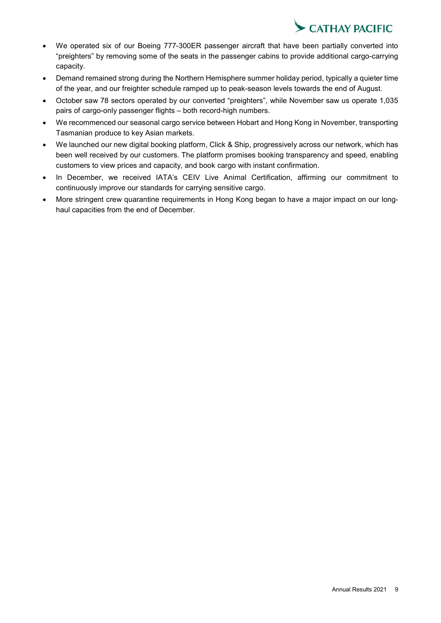

- We operated six of our Boeing 777-300ER passenger aircraft that have been partially converted into "preighters" by removing some of the seats in the passenger cabins to provide additional cargo-carrying capacity.
- Demand remained strong during the Northern Hemisphere summer holiday period, typically a quieter time of the year, and our freighter schedule ramped up to peak-season levels towards the end of August.
- October saw 78 sectors operated by our converted "preighters", while November saw us operate 1,035 pairs of cargo-only passenger flights – both record-high numbers.
- We recommenced our seasonal cargo service between Hobart and Hong Kong in November, transporting Tasmanian produce to key Asian markets.
- We launched our new digital booking platform, Click & Ship, progressively across our network, which has been well received by our customers. The platform promises booking transparency and speed, enabling customers to view prices and capacity, and book cargo with instant confirmation.
- In December, we received IATA's CEIV Live Animal Certification, affirming our commitment to continuously improve our standards for carrying sensitive cargo.
- More stringent crew quarantine requirements in Hong Kong began to have a major impact on our longhaul capacities from the end of December.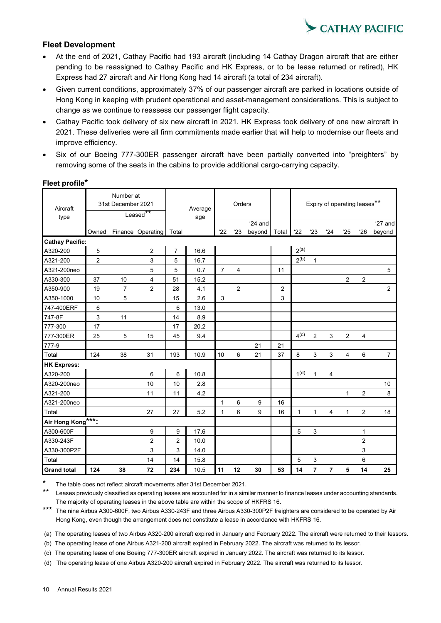

## **Fleet Development**

- At the end of 2021, Cathay Pacific had 193 aircraft (including 14 Cathay Dragon aircraft that are either pending to be reassigned to Cathay Pacific and HK Express, or to be lease returned or retired), HK Express had 27 aircraft and Air Hong Kong had 14 aircraft (a total of 234 aircraft).
- Given current conditions, approximately 37% of our passenger aircraft are parked in locations outside of Hong Kong in keeping with prudent operational and asset-management considerations. This is subject to change as we continue to reassess our passenger flight capacity.
- Cathay Pacific took delivery of six new aircraft in 2021. HK Express took delivery of one new aircraft in 2021. These deliveries were all firm commitments made earlier that will help to modernise our fleets and improve efficiency.
- Six of our Boeing 777-300ER passenger aircraft have been partially converted into "preighters" by removing some of the seats in the cabins to provide additional cargo-carrying capacity.

| Aircraft<br>type       |                | Number at<br>31st December 2021 | Leased**          |                | Average<br>age |                | Orders         |                   |                |                  |                |                | Expiry of operating leases** |                |                     |
|------------------------|----------------|---------------------------------|-------------------|----------------|----------------|----------------|----------------|-------------------|----------------|------------------|----------------|----------------|------------------------------|----------------|---------------------|
|                        | Owned          |                                 | Finance Operating | Total          |                | 22             | 23             | '24 and<br>beyond | Total          | 22               | 23             | 24             | 25                           | $^{\circ}26$   | $'27$ and<br>beyond |
| <b>Cathay Pacific:</b> |                |                                 |                   |                |                |                |                |                   |                |                  |                |                |                              |                |                     |
| A320-200               | 5              |                                 | $\overline{c}$    | 7              | 16.6           |                |                |                   |                | 2 <sup>(a)</sup> |                |                |                              |                |                     |
| A321-200               | $\overline{c}$ |                                 | 3                 | 5              | 16.7           |                |                |                   |                | 2 <sup>(b)</sup> | $\mathbf{1}$   |                |                              |                |                     |
| A321-200neo            |                |                                 | 5                 | 5              | 0.7            | $\overline{7}$ | 4              |                   | 11             |                  |                |                |                              |                | 5                   |
| A330-300               | 37             | 10                              | 4                 | 51             | 15.2           |                |                |                   |                |                  |                |                | $\overline{c}$               | $\overline{c}$ |                     |
| A350-900               | 19             | $\overline{7}$                  | $\overline{2}$    | 28             | 4.1            |                | $\overline{2}$ |                   | $\overline{2}$ |                  |                |                |                              |                | $\overline{2}$      |
| A350-1000              | 10             | 5                               |                   | 15             | 2.6            | 3              |                |                   | 3              |                  |                |                |                              |                |                     |
| 747-400ERF             | 6              |                                 |                   | 6              | 13.0           |                |                |                   |                |                  |                |                |                              |                |                     |
| 747-8F                 | 3              | 11                              |                   | 14             | 8.9            |                |                |                   |                |                  |                |                |                              |                |                     |
| 777-300                | 17             |                                 |                   | 17             | 20.2           |                |                |                   |                |                  |                |                |                              |                |                     |
| 777-300ER              | 25             | 5                               | 15                | 45             | 9.4            |                |                |                   |                | 4 <sup>(c)</sup> | $\overline{2}$ | 3              | $\overline{2}$               | $\overline{4}$ |                     |
| 777-9                  |                |                                 |                   |                |                |                |                | 21                | 21             |                  |                |                |                              |                |                     |
| Total                  | 124            | 38                              | 31                | 193            | 10.9           | 10             | 6              | 21                | 37             | 8                | 3              | 3              | 4                            | 6              | $\overline{7}$      |
| <b>HK Express:</b>     |                |                                 |                   |                |                |                |                |                   |                |                  |                |                |                              |                |                     |
| A320-200               |                |                                 | 6                 | 6              | 10.8           |                |                |                   |                | 1 <sup>(d)</sup> | 1              | $\overline{4}$ |                              |                |                     |
| A320-200neo            |                |                                 | 10                | 10             | 2.8            |                |                |                   |                |                  |                |                |                              |                | 10                  |
| A321-200               |                |                                 | 11                | 11             | 4.2            |                |                |                   |                |                  |                |                | $\mathbf{1}$                 | $\overline{c}$ | 8                   |
| A321-200neo            |                |                                 |                   |                |                | 1              | 6              | 9                 | 16             |                  |                |                |                              |                |                     |
| Total                  |                |                                 | 27                | 27             | 5.2            | 1              | 6              | 9                 | 16             | $\mathbf{1}$     | $\mathbf{1}$   | $\overline{4}$ | $\mathbf{1}$                 | $\mathbf{2}$   | 18                  |
| Air Hong Kong ***:     |                |                                 |                   |                |                |                |                |                   |                |                  |                |                |                              |                |                     |
| A300-600F              |                |                                 | 9                 | 9              | 17.6           |                |                |                   |                | 5                | 3              |                |                              | 1              |                     |
| A330-243F              |                |                                 | $\overline{c}$    | $\overline{c}$ | 10.0           |                |                |                   |                |                  |                |                |                              | $\overline{2}$ |                     |
| A330-300P2F            |                |                                 | 3                 | 3              | 14.0           |                |                |                   |                |                  |                |                |                              | 3              |                     |
| Total                  |                |                                 | 14                | 14             | 15.8           |                |                |                   |                | 5                | 3              |                |                              | 6              |                     |
| <b>Grand total</b>     | 124            | 38                              | 72                | 234            | 10.5           | 11             | 12             | 30                | 53             | 14               | $\overline{7}$ | $\overline{7}$ | 5                            | 14             | 25                  |

### **Fleet profile\***

The table does not reflect aircraft movements after 31st December 2021.

\*\* Leases previously classified as operating leases are accounted for in a similar manner to finance leases under accounting standards. The majority of operating leases in the above table are within the scope of HKFRS 16.

\*\*\* The nine Airbus A300-600F, two Airbus A330-243F and three Airbus A330-300P2F freighters are considered to be operated by Air Hong Kong, even though the arrangement does not constitute a lease in accordance with HKFRS 16.

(a) The operating leases of two Airbus A320-200 aircraft expired in January and February 2022. The aircraft were returned to their lessors.

(b) The operating lease of one Airbus A321-200 aircraft expired in February 2022. The aircraft was returned to its lessor.

(c) The operating lease of one Boeing 777-300ER aircraft expired in January 2022. The aircraft was returned to its lessor.

(d) The operating lease of one Airbus A320-200 aircraft expired in February 2022. The aircraft was returned to its lessor.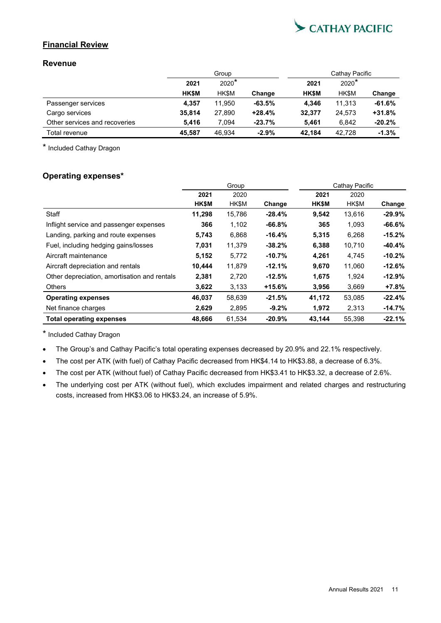

## **Financial Review**

## **Revenue**

|                               |              | Group       |          | Cathay Pacific |              |          |  |
|-------------------------------|--------------|-------------|----------|----------------|--------------|----------|--|
|                               | 2021         | $2020*$     |          | 2021           | $2020*$      |          |  |
|                               | <b>HK\$M</b> | <b>HKSM</b> | Change   | <b>HK\$M</b>   | <b>HK\$M</b> | Change   |  |
| Passenger services            | 4.357        | 11.950      | $-63.5%$ | 4.346          | 11.313       | $-61.6%$ |  |
| Cargo services                | 35.814       | 27,890      | $+28.4%$ | 32.377         | 24.573       | $+31.8%$ |  |
| Other services and recoveries | 5.416        | 7.094       | $-23.7%$ | 5.461          | 6.842        | $-20.2%$ |  |
| Total revenue                 | 45.587       | 46.934      | $-2.9%$  | 42.184         | 42.728       | $-1.3%$  |  |

\* Included Cathay Dragon

## **Operating expenses\***

|                                              | Group  |        |          | Cathay Pacific |        |           |  |
|----------------------------------------------|--------|--------|----------|----------------|--------|-----------|--|
|                                              | 2021   | 2020   |          | 2021           | 2020   |           |  |
|                                              | HK\$M  | HK\$M  | Change   | HK\$M          | HK\$M  | Change    |  |
| Staff                                        | 11,298 | 15,786 | $-28.4%$ | 9,542          | 13,616 | $-29.9\%$ |  |
| Inflight service and passenger expenses      | 366    | 1,102  | $-66.8%$ | 365            | 1,093  | $-66.6%$  |  |
| Landing, parking and route expenses          | 5,743  | 6,868  | $-16.4%$ | 5,315          | 6,268  | $-15.2%$  |  |
| Fuel, including hedging gains/losses         | 7,031  | 11,379 | $-38.2%$ | 6,388          | 10,710 | $-40.4%$  |  |
| Aircraft maintenance                         | 5,152  | 5,772  | $-10.7%$ | 4,261          | 4,745  | $-10.2%$  |  |
| Aircraft depreciation and rentals            | 10,444 | 11,879 | $-12.1%$ | 9,670          | 11,060 | $-12.6%$  |  |
| Other depreciation, amortisation and rentals | 2,381  | 2,720  | $-12.5%$ | 1,675          | 1,924  | $-12.9%$  |  |
| <b>Others</b>                                | 3,622  | 3.133  | $+15.6%$ | 3,956          | 3,669  | +7.8%     |  |
| <b>Operating expenses</b>                    | 46,037 | 58,639 | $-21.5%$ | 41,172         | 53,085 | $-22.4%$  |  |
| Net finance charges                          | 2,629  | 2,895  | $-9.2%$  | 1,972          | 2,313  | $-14.7\%$ |  |
| <b>Total operating expenses</b>              | 48,666 | 61.534 | $-20.9%$ | 43.144         | 55,398 | $-22.1%$  |  |

\* Included Cathay Dragon

- The Group's and Cathay Pacific's total operating expenses decreased by 20.9% and 22.1% respectively.
- The cost per ATK (with fuel) of Cathay Pacific decreased from HK\$4.14 to HK\$3.88, a decrease of 6.3%.
- The cost per ATK (without fuel) of Cathay Pacific decreased from HK\$3.41 to HK\$3.32, a decrease of 2.6%.
- The underlying cost per ATK (without fuel), which excludes impairment and related charges and restructuring costs, increased from HK\$3.06 to HK\$3.24, an increase of 5.9%.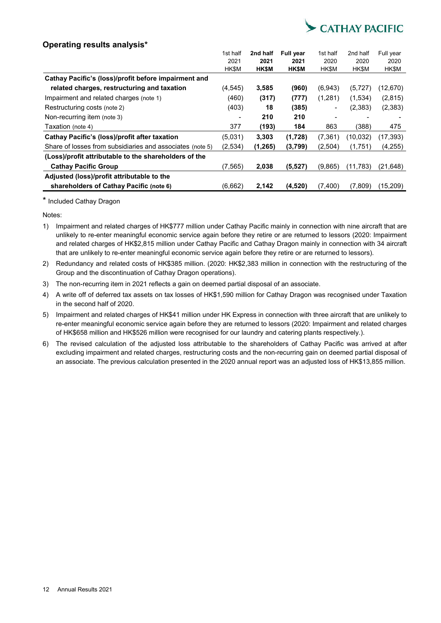

## **Operating results analysis\***

|                                                           | 1st half                 | 2nd half | <b>Full year</b> | 1st half | 2nd half | Full year |
|-----------------------------------------------------------|--------------------------|----------|------------------|----------|----------|-----------|
|                                                           | 2021                     | 2021     | 2021             | 2020     | 2020     | 2020      |
|                                                           | HK\$M                    | HK\$M    | HK\$M            | HK\$M    | HK\$M    | HK\$M     |
| Cathay Pacific's (loss)/profit before impairment and      |                          |          |                  |          |          |           |
| related charges, restructuring and taxation               | (4, 545)                 | 3,585    | (960)            | (6.943)  | (5, 727) | (12,670)  |
| Impairment and related charges (note 1)                   | (460)                    | (317)    | (777)            | (1,281)  | (1,534)  | (2,815)   |
| Restructuring costs (note 2)                              | (403)                    | 18       | (385)            |          | (2,383)  | (2, 383)  |
| Non-recurring item (note 3)                               | $\overline{\phantom{a}}$ | 210      | 210              |          |          |           |
| Taxation (note 4)                                         | 377                      | (193)    | 184              | 863      | (388)    | 475       |
| Cathay Pacific's (loss)/profit after taxation             | (5,031)                  | 3,303    | (1,728)          | (7, 361) | (10,032) | (17, 393) |
| Share of losses from subsidiaries and associates (note 5) | (2,534)                  | (1, 265) | (3,799)          | (2,504)  | (1,751)  | (4,255)   |
| (Loss)/profit attributable to the shareholders of the     |                          |          |                  |          |          |           |
| <b>Cathay Pacific Group</b>                               | (7, 565)                 | 2,038    | (5, 527)         | (9,865)  | (11,783) | (21, 648) |
| Adjusted (loss)/profit attributable to the                |                          |          |                  |          |          |           |
| shareholders of Cathay Pacific (note 6)                   | (6,662)                  | 2,142    | (4,520)          | (7,400)  | (7,809)  | (15,209)  |

\* Included Cathay Dragon

Notes:

- 1) Impairment and related charges of HK\$777 million under Cathay Pacific mainly in connection with nine aircraft that are unlikely to re-enter meaningful economic service again before they retire or are returned to lessors (2020: Impairment and related charges of HK\$2,815 million under Cathay Pacific and Cathay Dragon mainly in connection with 34 aircraft that are unlikely to re-enter meaningful economic service again before they retire or are returned to lessors).
- 2) Redundancy and related costs of HK\$385 million. (2020: HK\$2,383 million in connection with the restructuring of the Group and the discontinuation of Cathay Dragon operations).
- 3) The non-recurring item in 2021 reflects a gain on deemed partial disposal of an associate.
- 4) A write off of deferred tax assets on tax losses of HK\$1,590 million for Cathay Dragon was recognised under Taxation in the second half of 2020.
- 5) Impairment and related charges of HK\$41 million under HK Express in connection with three aircraft that are unlikely to re-enter meaningful economic service again before they are returned to lessors (2020: Impairment and related charges of HK\$658 million and HK\$526 million were recognised for our laundry and catering plants respectively.).
- 6) The revised calculation of the adjusted loss attributable to the shareholders of Cathay Pacific was arrived at after excluding impairment and related charges, restructuring costs and the non-recurring gain on deemed partial disposal of an associate. The previous calculation presented in the 2020 annual report was an adjusted loss of HK\$13,855 million.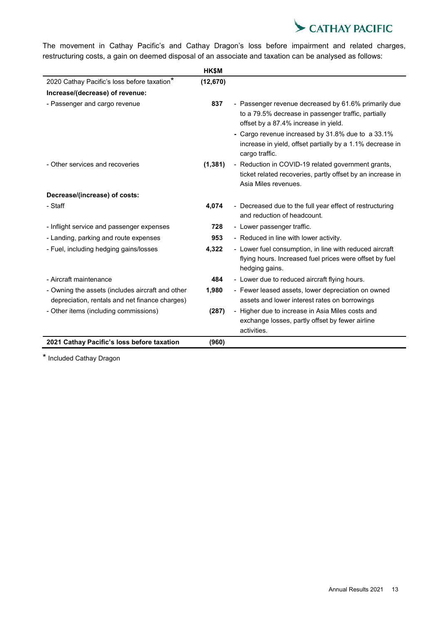

The movement in Cathay Pacific's and Cathay Dragon's loss before impairment and related charges, restructuring costs, a gain on deemed disposal of an associate and taxation can be analysed as follows:

|                                                                                                    | HK\$M     |                                                                                                                                                     |
|----------------------------------------------------------------------------------------------------|-----------|-----------------------------------------------------------------------------------------------------------------------------------------------------|
| 2020 Cathay Pacific's loss before taxation*                                                        | (12, 670) |                                                                                                                                                     |
| Increase/(decrease) of revenue:                                                                    |           |                                                                                                                                                     |
| - Passenger and cargo revenue                                                                      | 837       | - Passenger revenue decreased by 61.6% primarily due<br>to a 79.5% decrease in passenger traffic, partially<br>offset by a 87.4% increase in yield. |
|                                                                                                    |           | - Cargo revenue increased by 31.8% due to a 33.1%<br>increase in yield, offset partially by a 1.1% decrease in<br>cargo traffic.                    |
| - Other services and recoveries                                                                    | (1, 381)  | - Reduction in COVID-19 related government grants,<br>ticket related recoveries, partly offset by an increase in<br>Asia Miles revenues.            |
| Decrease/(increase) of costs:                                                                      |           |                                                                                                                                                     |
| - Staff                                                                                            | 4,074     | - Decreased due to the full year effect of restructuring<br>and reduction of headcount.                                                             |
| - Inflight service and passenger expenses                                                          | 728       | - Lower passenger traffic.                                                                                                                          |
| - Landing, parking and route expenses                                                              | 953       | - Reduced in line with lower activity.                                                                                                              |
| - Fuel, including hedging gains/losses                                                             | 4,322     | - Lower fuel consumption, in line with reduced aircraft<br>flying hours. Increased fuel prices were offset by fuel<br>hedging gains.                |
| - Aircraft maintenance                                                                             | 484       | - Lower due to reduced aircraft flying hours.                                                                                                       |
| - Owning the assets (includes aircraft and other<br>depreciation, rentals and net finance charges) | 1,980     | - Fewer leased assets, lower depreciation on owned<br>assets and lower interest rates on borrowings                                                 |
| - Other items (including commissions)                                                              | (287)     | - Higher due to increase in Asia Miles costs and<br>exchange losses, partly offset by fewer airline<br>activities.                                  |
| 2021 Cathay Pacific's loss before taxation                                                         | (960)     |                                                                                                                                                     |

\* Included Cathay Dragon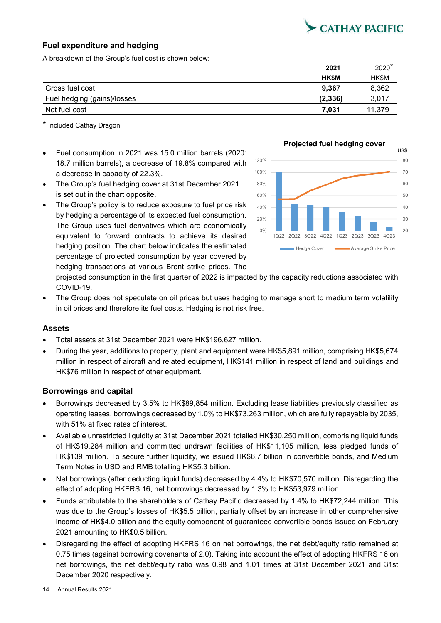

## **Fuel expenditure and hedging**

A breakdown of the Group's fuel cost is shown below:

|                             | 2021         | $2020*$     |
|-----------------------------|--------------|-------------|
|                             | <b>HK\$M</b> | <b>HKSM</b> |
| Gross fuel cost             | 9,367        | 8,362       |
| Fuel hedging (gains)/losses | (2,336)      | 3,017       |
| Net fuel cost               | 7.031        | 11.379      |

\* Included Cathay Dragon

- Fuel consumption in 2021 was 15.0 million barrels (2020: 18.7 million barrels), a decrease of 19.8% compared with a decrease in capacity of 22.3%.
- The Group's fuel hedging cover at 31st December 2021 is set out in the chart opposite.
- The Group's policy is to reduce exposure to fuel price risk by hedging a percentage of its expected fuel consumption. The Group uses fuel derivatives which are economically equivalent to forward contracts to achieve its desired hedging position. The chart below indicates the estimated percentage of projected consumption by year covered by hedging transactions at various Brent strike prices. The



projected consumption in the first quarter of 2022 is impacted by the capacity reductions associated with COVID-19.

 The Group does not speculate on oil prices but uses hedging to manage short to medium term volatility in oil prices and therefore its fuel costs. Hedging is not risk free.

## **Assets**

- Total assets at 31st December 2021 were HK\$196,627 million.
- During the year, additions to property, plant and equipment were HK\$5,891 million, comprising HK\$5,674 million in respect of aircraft and related equipment, HK\$141 million in respect of land and buildings and HK\$76 million in respect of other equipment.

## **Borrowings and capital**

- Borrowings decreased by 3.5% to HK\$89,854 million. Excluding lease liabilities previously classified as operating leases, borrowings decreased by 1.0% to HK\$73,263 million, which are fully repayable by 2035, with 51% at fixed rates of interest.
- Available unrestricted liquidity at 31st December 2021 totalled HK\$30,250 million, comprising liquid funds of HK\$19,284 million and committed undrawn facilities of HK\$11,105 million, less pledged funds of HK\$139 million. To secure further liquidity, we issued HK\$6.7 billion in convertible bonds, and Medium Term Notes in USD and RMB totalling HK\$5.3 billion.
- Net borrowings (after deducting liquid funds) decreased by 4.4% to HK\$70,570 million. Disregarding the effect of adopting HKFRS 16, net borrowings decreased by 1.3% to HK\$53,979 million.
- Funds attributable to the shareholders of Cathay Pacific decreased by 1.4% to HK\$72,244 million. This was due to the Group's losses of HK\$5.5 billion, partially offset by an increase in other comprehensive income of HK\$4.0 billion and the equity component of guaranteed convertible bonds issued on February 2021 amounting to HK\$0.5 billion.
- Disregarding the effect of adopting HKFRS 16 on net borrowings, the net debt/equity ratio remained at 0.75 times (against borrowing covenants of 2.0). Taking into account the effect of adopting HKFRS 16 on net borrowings, the net debt/equity ratio was 0.98 and 1.01 times at 31st December 2021 and 31st December 2020 respectively.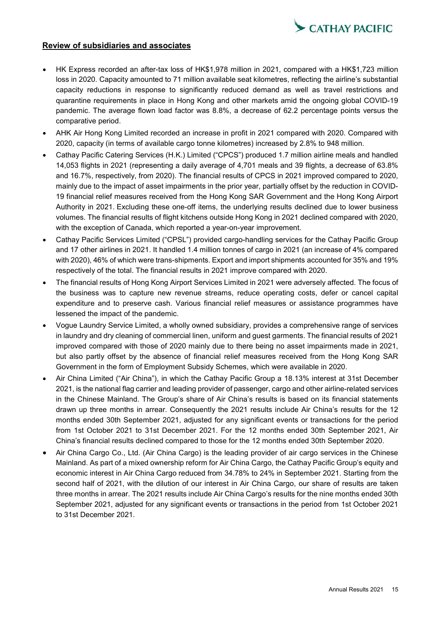

### **Review of subsidiaries and associates**

- HK Express recorded an after-tax loss of HK\$1,978 million in 2021, compared with a HK\$1,723 million loss in 2020. Capacity amounted to 71 million available seat kilometres, reflecting the airline's substantial capacity reductions in response to significantly reduced demand as well as travel restrictions and quarantine requirements in place in Hong Kong and other markets amid the ongoing global COVID-19 pandemic. The average flown load factor was 8.8%, a decrease of 62.2 percentage points versus the comparative period.
- AHK Air Hong Kong Limited recorded an increase in profit in 2021 compared with 2020. Compared with 2020, capacity (in terms of available cargo tonne kilometres) increased by 2.8% to 948 million.
- Cathay Pacific Catering Services (H.K.) Limited ("CPCS") produced 1.7 million airline meals and handled 14,053 flights in 2021 (representing a daily average of 4,701 meals and 39 flights, a decrease of 63.8% and 16.7%, respectively, from 2020). The financial results of CPCS in 2021 improved compared to 2020, mainly due to the impact of asset impairments in the prior year, partially offset by the reduction in COVID-19 financial relief measures received from the Hong Kong SAR Government and the Hong Kong Airport Authority in 2021. Excluding these one-off items, the underlying results declined due to lower business volumes. The financial results of flight kitchens outside Hong Kong in 2021 declined compared with 2020, with the exception of Canada, which reported a year-on-year improvement.
- Cathay Pacific Services Limited ("CPSL") provided cargo-handling services for the Cathay Pacific Group and 17 other airlines in 2021. It handled 1.4 million tonnes of cargo in 2021 (an increase of 4% compared with 2020), 46% of which were trans-shipments. Export and import shipments accounted for 35% and 19% respectively of the total. The financial results in 2021 improve compared with 2020.
- The financial results of Hong Kong Airport Services Limited in 2021 were adversely affected. The focus of the business was to capture new revenue streams, reduce operating costs, defer or cancel capital expenditure and to preserve cash. Various financial relief measures or assistance programmes have lessened the impact of the pandemic.
- Vogue Laundry Service Limited, a wholly owned subsidiary, provides a comprehensive range of services in laundry and dry cleaning of commercial linen, uniform and guest garments. The financial results of 2021 improved compared with those of 2020 mainly due to there being no asset impairments made in 2021, but also partly offset by the absence of financial relief measures received from the Hong Kong SAR Government in the form of Employment Subsidy Schemes, which were available in 2020.
- Air China Limited ("Air China"), in which the Cathay Pacific Group a 18.13% interest at 31st December 2021, is the national flag carrier and leading provider of passenger, cargo and other airline-related services in the Chinese Mainland. The Group's share of Air China's results is based on its financial statements drawn up three months in arrear. Consequently the 2021 results include Air China's results for the 12 months ended 30th September 2021, adjusted for any significant events or transactions for the period from 1st October 2021 to 31st December 2021. For the 12 months ended 30th September 2021, Air China's financial results declined compared to those for the 12 months ended 30th September 2020.
- Air China Cargo Co., Ltd. (Air China Cargo) is the leading provider of air cargo services in the Chinese Mainland. As part of a mixed ownership reform for Air China Cargo, the Cathay Pacific Group's equity and economic interest in Air China Cargo reduced from 34.78% to 24% in September 2021. Starting from the second half of 2021, with the dilution of our interest in Air China Cargo, our share of results are taken three months in arrear. The 2021 results include Air China Cargo's results for the nine months ended 30th September 2021, adjusted for any significant events or transactions in the period from 1st October 2021 to 31st December 2021.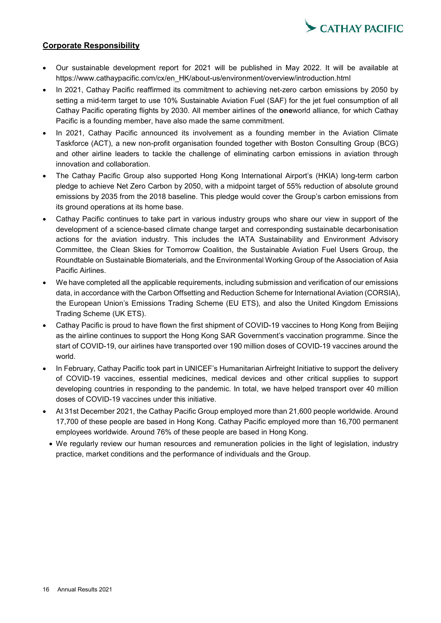

## **Corporate Responsibility**

- Our sustainable development report for 2021 will be published in May 2022. It will be available at https://www.cathaypacific.com/cx/en\_HK/about-us/environment/overview/introduction.html
- In 2021, Cathay Pacific reaffirmed its commitment to achieving net-zero carbon emissions by 2050 by setting a mid-term target to use 10% Sustainable Aviation Fuel (SAF) for the jet fuel consumption of all Cathay Pacific operating flights by 2030. All member airlines of the **one**world alliance, for which Cathay Pacific is a founding member, have also made the same commitment.
- In 2021, Cathay Pacific announced its involvement as a founding member in the Aviation Climate Taskforce (ACT), a new non-profit organisation founded together with Boston Consulting Group (BCG) and other airline leaders to tackle the challenge of eliminating carbon emissions in aviation through innovation and collaboration.
- The Cathay Pacific Group also supported Hong Kong International Airport's (HKIA) long-term carbon pledge to achieve Net Zero Carbon by 2050, with a midpoint target of 55% reduction of absolute ground emissions by 2035 from the 2018 baseline. This pledge would cover the Group's carbon emissions from its ground operations at its home base.
- Cathay Pacific continues to take part in various industry groups who share our view in support of the development of a science-based climate change target and corresponding sustainable decarbonisation actions for the aviation industry. This includes the IATA Sustainability and Environment Advisory Committee, the Clean Skies for Tomorrow Coalition, the Sustainable Aviation Fuel Users Group, the Roundtable on Sustainable Biomaterials, and the Environmental Working Group of the Association of Asia Pacific Airlines.
- We have completed all the applicable requirements, including submission and verification of our emissions data, in accordance with the Carbon Offsetting and Reduction Scheme for International Aviation (CORSIA), the European Union's Emissions Trading Scheme (EU ETS), and also the United Kingdom Emissions Trading Scheme (UK ETS).
- Cathay Pacific is proud to have flown the first shipment of COVID-19 vaccines to Hong Kong from Beijing as the airline continues to support the Hong Kong SAR Government's vaccination programme. Since the start of COVID-19, our airlines have transported over 190 million doses of COVID-19 vaccines around the world.
- In February, Cathay Pacific took part in UNICEF's Humanitarian Airfreight Initiative to support the delivery of COVID-19 vaccines, essential medicines, medical devices and other critical supplies to support developing countries in responding to the pandemic. In total, we have helped transport over 40 million doses of COVID-19 vaccines under this initiative.
- At 31st December 2021, the Cathay Pacific Group employed more than 21,600 people worldwide. Around 17,700 of these people are based in Hong Kong. Cathay Pacific employed more than 16,700 permanent employees worldwide. Around 76% of these people are based in Hong Kong.
- We regularly review our human resources and remuneration policies in the light of legislation, industry practice, market conditions and the performance of individuals and the Group.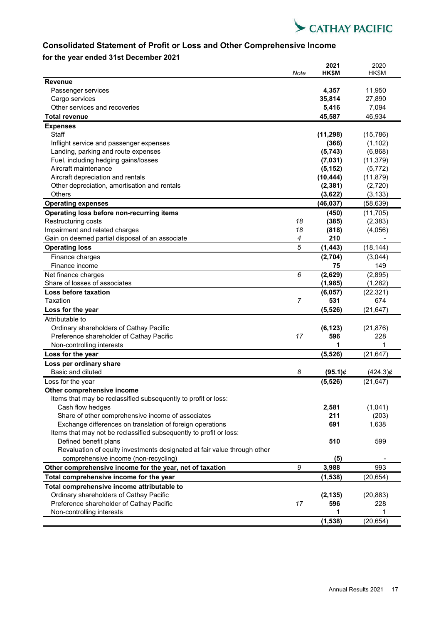

## **Consolidated Statement of Profit or Loss and Other Comprehensive Income**

## **for the year ended 31st December 2021**

|                                                                                                                |      | 2021                | 2020                 |
|----------------------------------------------------------------------------------------------------------------|------|---------------------|----------------------|
|                                                                                                                | Note | HK\$M               | HK\$M                |
| <b>Revenue</b>                                                                                                 |      |                     |                      |
| Passenger services                                                                                             |      | 4,357               | 11,950<br>27,890     |
| Cargo services<br>Other services and recoveries                                                                |      | 35,814              | 7,094                |
|                                                                                                                |      | 5,416               |                      |
| <b>Total revenue</b>                                                                                           |      | 45,587              | 46,934               |
| <b>Expenses</b>                                                                                                |      |                     |                      |
| <b>Staff</b>                                                                                                   |      | (11, 298)           | (15, 786)            |
| Inflight service and passenger expenses                                                                        |      | (366)               | (1, 102)             |
| Landing, parking and route expenses<br>Fuel, including hedging gains/losses                                    |      | (5,743)             | (6,868)<br>(11, 379) |
| Aircraft maintenance                                                                                           |      | (7,031)<br>(5, 152) | (5, 772)             |
| Aircraft depreciation and rentals                                                                              |      | (10, 444)           | (11, 879)            |
| Other depreciation, amortisation and rentals                                                                   |      | (2, 381)            | (2,720)              |
| Others                                                                                                         |      | (3,622)             | (3, 133)             |
| <b>Operating expenses</b>                                                                                      |      | (46, 037)           | (58, 639)            |
|                                                                                                                |      |                     |                      |
| Operating loss before non-recurring items                                                                      | 18   | (450)               | (11, 705)            |
| Restructuring costs<br>Impairment and related charges                                                          | 18   | (385)<br>(818)      | (2, 383)<br>(4,056)  |
| Gain on deemed partial disposal of an associate                                                                | 4    | 210                 |                      |
| <b>Operating loss</b>                                                                                          | 5    | (1, 443)            | (18, 144)            |
|                                                                                                                |      |                     |                      |
| Finance charges<br>Finance income                                                                              |      | (2,704)<br>75       | (3,044)<br>149       |
|                                                                                                                | 6    |                     |                      |
| Net finance charges                                                                                            |      | (2,629)             | (2,895)              |
| Share of losses of associates<br>Loss before taxation                                                          |      | (1, 985)            | (1, 282)             |
| Taxation                                                                                                       | 7    | (6,057)<br>531      | (22, 321)<br>674     |
|                                                                                                                |      |                     |                      |
| Loss for the year                                                                                              |      | (5, 526)            | (21, 647)            |
| Attributable to                                                                                                |      |                     |                      |
| Ordinary shareholders of Cathay Pacific                                                                        | 17   | (6, 123)<br>596     | (21, 876)            |
| Preference shareholder of Cathay Pacific<br>Non-controlling interests                                          |      |                     | 228<br>1             |
| Loss for the year                                                                                              |      | (5, 526)            | (21, 647)            |
|                                                                                                                |      |                     |                      |
| Loss per ordinary share<br>Basic and diluted                                                                   |      |                     |                      |
|                                                                                                                | 8    | $(95.1)$ ¢          | $(424.3)$ ¢          |
| Loss for the year                                                                                              |      | (5, 526)            | (21, 647)            |
| Other comprehensive income                                                                                     |      |                     |                      |
| Items that may be reclassified subsequently to profit or loss:                                                 |      |                     |                      |
| Cash flow hedges                                                                                               |      | 2,581               | (1,041)              |
| Share of other comprehensive income of associates<br>Exchange differences on translation of foreign operations |      | 211<br>691          | (203)<br>1,638       |
| Items that may not be reclassified subsequently to profit or loss:                                             |      |                     |                      |
| Defined benefit plans                                                                                          |      | 510                 | 599                  |
| Revaluation of equity investments designated at fair value through other                                       |      |                     |                      |
| comprehensive income (non-recycling)                                                                           |      | (5)                 |                      |
| Other comprehensive income for the year, net of taxation                                                       | 9    | 3,988               | 993                  |
| Total comprehensive income for the year                                                                        |      | (1, 538)            | (20, 654)            |
|                                                                                                                |      |                     |                      |
| Total comprehensive income attributable to<br>Ordinary shareholders of Cathay Pacific                          |      |                     |                      |
| Preference shareholder of Cathay Pacific                                                                       | 17   | (2, 135)<br>596     | (20, 883)<br>228     |
| Non-controlling interests                                                                                      |      | 1                   | 1                    |
|                                                                                                                |      | (1, 538)            | (20, 654)            |
|                                                                                                                |      |                     |                      |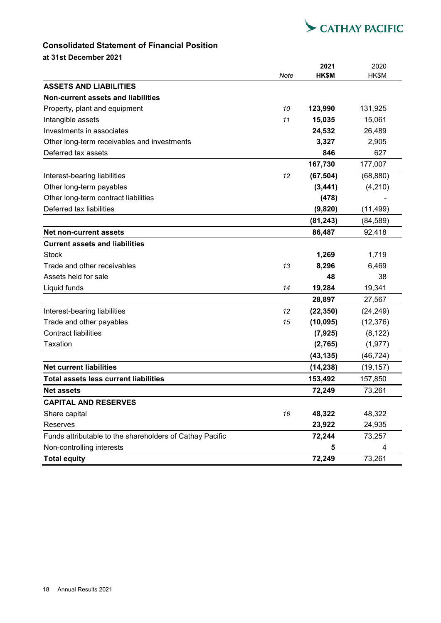

## **Consolidated Statement of Financial Position**

**at 31st December 2021**

|                                                          | Note | 2021<br>HK\$M | 2020<br>HK\$M |
|----------------------------------------------------------|------|---------------|---------------|
| <b>ASSETS AND LIABILITIES</b>                            |      |               |               |
| Non-current assets and liabilities                       |      |               |               |
| Property, plant and equipment                            | 10   | 123,990       | 131,925       |
| Intangible assets                                        | 11   | 15,035        | 15,061        |
| Investments in associates                                |      | 24,532        | 26,489        |
| Other long-term receivables and investments              |      | 3,327         | 2,905         |
| Deferred tax assets                                      |      | 846           | 627           |
|                                                          |      | 167,730       | 177,007       |
| Interest-bearing liabilities                             | 12   | (67, 504)     | (68, 880)     |
| Other long-term payables                                 |      | (3, 441)      | (4,210)       |
| Other long-term contract liabilities                     |      | (478)         |               |
| Deferred tax liabilities                                 |      | (9,820)       | (11, 499)     |
|                                                          |      | (81, 243)     | (84, 589)     |
| Net non-current assets                                   |      | 86,487        | 92,418        |
| <b>Current assets and liabilities</b>                    |      |               |               |
| <b>Stock</b>                                             |      | 1,269         | 1,719         |
| Trade and other receivables                              | 13   | 8,296         | 6,469         |
| Assets held for sale                                     |      | 48            | 38            |
| Liquid funds                                             | 14   | 19,284        | 19,341        |
|                                                          |      | 28,897        | 27,567        |
| Interest-bearing liabilities                             | 12   | (22, 350)     | (24, 249)     |
| Trade and other payables                                 | 15   | (10, 095)     | (12, 376)     |
| <b>Contract liabilities</b>                              |      | (7, 925)      | (8, 122)      |
| <b>Taxation</b>                                          |      | (2,765)       | (1, 977)      |
|                                                          |      | (43, 135)     | (46, 724)     |
| <b>Net current liabilities</b>                           |      | (14, 238)     | (19, 157)     |
| <b>Total assets less current liabilities</b>             |      | 153,492       | 157,850       |
| <b>Net assets</b>                                        |      | 72.249        | 73,261        |
| <b>CAPITAL AND RESERVES</b>                              |      |               |               |
| Share capital                                            | 16   | 48,322        | 48,322        |
| Reserves                                                 |      | 23,922        | 24,935        |
| Funds attributable to the shareholders of Cathay Pacific |      | 72,244        | 73,257        |
| Non-controlling interests                                |      | 5             | 4             |
| <b>Total equity</b>                                      |      | 72,249        | 73,261        |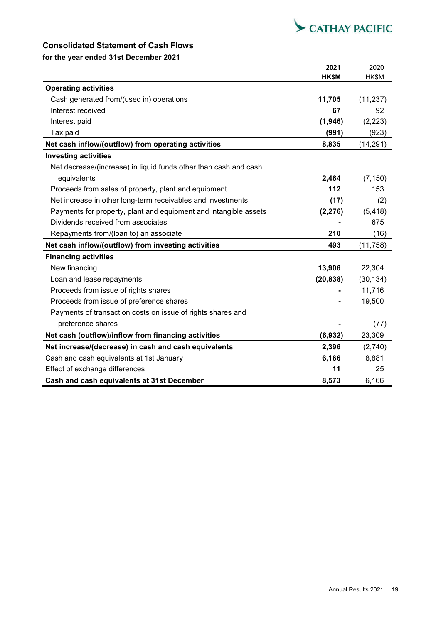

## **Consolidated Statement of Cash Flows**

## **for the year ended 31st December 2021**

|                                                                  | 2021      | 2020      |
|------------------------------------------------------------------|-----------|-----------|
|                                                                  | HK\$M     | HK\$M     |
| <b>Operating activities</b>                                      |           |           |
| Cash generated from/(used in) operations                         | 11,705    | (11, 237) |
| Interest received                                                | 67        | 92        |
| Interest paid                                                    | (1,946)   | (2, 223)  |
| Tax paid                                                         | (991)     | (923)     |
| Net cash inflow/(outflow) from operating activities              | 8,835     | (14, 291) |
| <b>Investing activities</b>                                      |           |           |
| Net decrease/(increase) in liquid funds other than cash and cash |           |           |
| equivalents                                                      | 2,464     | (7, 150)  |
| Proceeds from sales of property, plant and equipment             | 112       | 153       |
| Net increase in other long-term receivables and investments      | (17)      | (2)       |
| Payments for property, plant and equipment and intangible assets | (2, 276)  | (5, 418)  |
| Dividends received from associates                               |           | 675       |
| Repayments from/(loan to) an associate                           | 210       | (16)      |
| Net cash inflow/(outflow) from investing activities              | 493       | (11, 758) |
| <b>Financing activities</b>                                      |           |           |
| New financing                                                    | 13,906    | 22,304    |
| Loan and lease repayments                                        | (20, 838) | (30, 134) |
| Proceeds from issue of rights shares                             |           | 11,716    |
| Proceeds from issue of preference shares                         |           | 19,500    |
| Payments of transaction costs on issue of rights shares and      |           |           |
| preference shares                                                |           | (77)      |
| Net cash (outflow)/inflow from financing activities              | (6,932)   | 23,309    |
| Net increase/(decrease) in cash and cash equivalents             | 2,396     | (2,740)   |
| Cash and cash equivalents at 1st January                         | 6,166     | 8,881     |
| Effect of exchange differences                                   | 11        | 25        |
| Cash and cash equivalents at 31st December                       | 8,573     | 6,166     |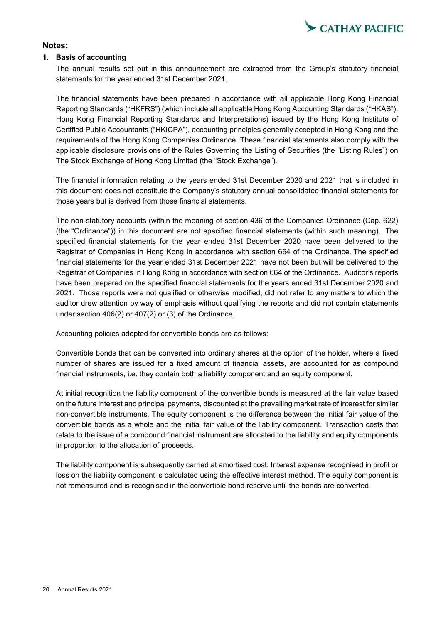

## **Notes:**

### **1. Basis of accounting**

The annual results set out in this announcement are extracted from the Group's statutory financial statements for the year ended 31st December 2021.

The financial statements have been prepared in accordance with all applicable Hong Kong Financial Reporting Standards ("HKFRS") (which include all applicable Hong Kong Accounting Standards ("HKAS"), Hong Kong Financial Reporting Standards and Interpretations) issued by the Hong Kong Institute of Certified Public Accountants ("HKICPA"), accounting principles generally accepted in Hong Kong and the requirements of the Hong Kong Companies Ordinance. These financial statements also comply with the applicable disclosure provisions of the Rules Governing the Listing of Securities (the "Listing Rules") on The Stock Exchange of Hong Kong Limited (the "Stock Exchange").

The financial information relating to the years ended 31st December 2020 and 2021 that is included in this document does not constitute the Company's statutory annual consolidated financial statements for those years but is derived from those financial statements.

The non-statutory accounts (within the meaning of section 436 of the Companies Ordinance (Cap. 622) (the "Ordinance")) in this document are not specified financial statements (within such meaning). The specified financial statements for the year ended 31st December 2020 have been delivered to the Registrar of Companies in Hong Kong in accordance with section 664 of the Ordinance. The specified financial statements for the year ended 31st December 2021 have not been but will be delivered to the Registrar of Companies in Hong Kong in accordance with section 664 of the Ordinance. Auditor's reports have been prepared on the specified financial statements for the years ended 31st December 2020 and 2021. Those reports were not qualified or otherwise modified, did not refer to any matters to which the auditor drew attention by way of emphasis without qualifying the reports and did not contain statements under section 406(2) or 407(2) or (3) of the Ordinance.

Accounting policies adopted for convertible bonds are as follows:

Convertible bonds that can be converted into ordinary shares at the option of the holder, where a fixed number of shares are issued for a fixed amount of financial assets, are accounted for as compound financial instruments, i.e. they contain both a liability component and an equity component.

At initial recognition the liability component of the convertible bonds is measured at the fair value based on the future interest and principal payments, discounted at the prevailing market rate of interest for similar non-convertible instruments. The equity component is the difference between the initial fair value of the convertible bonds as a whole and the initial fair value of the liability component. Transaction costs that relate to the issue of a compound financial instrument are allocated to the liability and equity components in proportion to the allocation of proceeds.

The liability component is subsequently carried at amortised cost. Interest expense recognised in profit or loss on the liability component is calculated using the effective interest method. The equity component is not remeasured and is recognised in the convertible bond reserve until the bonds are converted.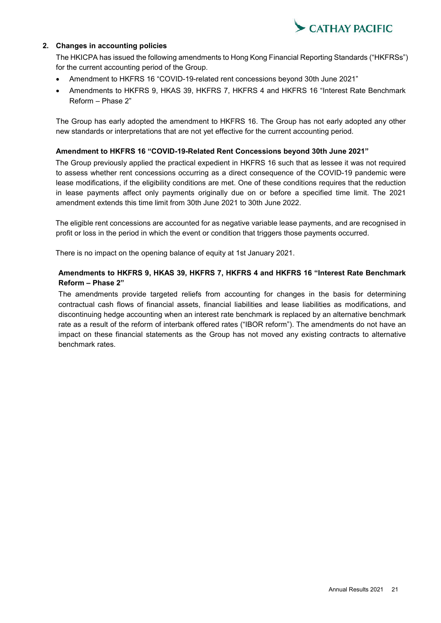

## **2. Changes in accounting policies**

The HKICPA has issued the following amendments to Hong Kong Financial Reporting Standards ("HKFRSs") for the current accounting period of the Group.

- Amendment to HKFRS 16 "COVID-19-related rent concessions beyond 30th June 2021"
- Amendments to HKFRS 9, HKAS 39, HKFRS 7, HKFRS 4 and HKFRS 16 "Interest Rate Benchmark Reform – Phase 2"

The Group has early adopted the amendment to HKFRS 16. The Group has not early adopted any other new standards or interpretations that are not yet effective for the current accounting period.

### **Amendment to HKFRS 16 "COVID-19-Related Rent Concessions beyond 30th June 2021"**

The Group previously applied the practical expedient in HKFRS 16 such that as lessee it was not required to assess whether rent concessions occurring as a direct consequence of the COVID-19 pandemic were lease modifications, if the eligibility conditions are met. One of these conditions requires that the reduction in lease payments affect only payments originally due on or before a specified time limit. The 2021 amendment extends this time limit from 30th June 2021 to 30th June 2022.

The eligible rent concessions are accounted for as negative variable lease payments, and are recognised in profit or loss in the period in which the event or condition that triggers those payments occurred.

There is no impact on the opening balance of equity at 1st January 2021.

## **Amendments to HKFRS 9, HKAS 39, HKFRS 7, HKFRS 4 and HKFRS 16 "Interest Rate Benchmark Reform – Phase 2"**

The amendments provide targeted reliefs from accounting for changes in the basis for determining contractual cash flows of financial assets, financial liabilities and lease liabilities as modifications, and discontinuing hedge accounting when an interest rate benchmark is replaced by an alternative benchmark rate as a result of the reform of interbank offered rates ("IBOR reform"). The amendments do not have an impact on these financial statements as the Group has not moved any existing contracts to alternative benchmark rates.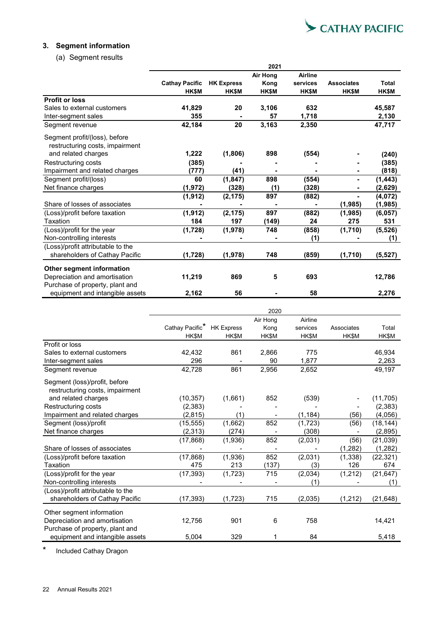

## **3. Segment information**

(a) Segment results

|                                   | 2021                  |                   |                 |                |                   |              |
|-----------------------------------|-----------------------|-------------------|-----------------|----------------|-------------------|--------------|
|                                   |                       |                   | <b>Air Hong</b> | <b>Airline</b> |                   |              |
|                                   | <b>Cathay Pacific</b> | <b>HK Express</b> | Kong            | services       | <b>Associates</b> | <b>Total</b> |
|                                   | <b>HK\$M</b>          | <b>HK\$M</b>      | <b>HK\$M</b>    | <b>HK\$M</b>   | <b>HK\$M</b>      | <b>HK\$M</b> |
| <b>Profit or loss</b>             |                       |                   |                 |                |                   |              |
| Sales to external customers       | 41,829                | 20                | 3,106           | 632            |                   | 45.587       |
| Inter-segment sales               | 355                   |                   | 57              | 1,718          |                   | 2,130        |
| Segment revenue                   | 42,184                | 20                | 3,163           | 2,350          |                   | 47,717       |
| Segment profit/(loss), before     |                       |                   |                 |                |                   |              |
| restructuring costs, impairment   |                       |                   |                 |                |                   |              |
| and related charges               | 1,222                 | (1,806)           | 898             | (554)          |                   | (240)        |
| Restructuring costs               | (385)                 |                   |                 |                |                   | (385)        |
| Impairment and related charges    | (777)                 | (41)              |                 |                |                   | (818)        |
| Segment profit/(loss)             | 60                    | (1, 847)          | 898             | (554)          |                   | (1, 443)     |
| Net finance charges               | (1, 972)              | (328)             | (1)             | (328)          |                   | (2,629)      |
|                                   | (1, 912)              | (2, 175)          | 897             | (882)          |                   | (4,072)      |
| Share of losses of associates     |                       |                   |                 |                | (1, 985)          | (1, 985)     |
| (Loss)/profit before taxation     | (1, 912)              | (2, 175)          | 897             | (882)          | (1, 985)          | (6,057)      |
| Taxation                          | 184                   | 197               | (149)           | 24             | 275               | 531          |
| (Loss)/profit for the year        | (1, 728)              | (1,978)           | 748             | (858)          | (1,710)           | (5, 526)     |
| Non-controlling interests         |                       |                   |                 | (1)            |                   | (1)          |
| (Loss)/profit attributable to the |                       |                   |                 |                |                   |              |
| shareholders of Cathay Pacific    | (1,728)               | (1,978)           | 748             | (859)          | (1,710)           | (5, 527)     |
| Other segment information         |                       |                   |                 |                |                   |              |
| Depreciation and amortisation     | 11,219                | 869               | 5               | 693            |                   | 12,786       |
| Purchase of property, plant and   |                       |                   |                 |                |                   |              |
| equipment and intangible assets   | 2,162                 | 56                |                 | 58             |                   | 2,276        |

|                                   |                 |                   | 2020     |          |            |           |
|-----------------------------------|-----------------|-------------------|----------|----------|------------|-----------|
|                                   |                 |                   | Air Hong | Airline  |            |           |
|                                   | Cathay Pacific* | <b>HK Express</b> | Kong     | services | Associates | Total     |
|                                   | HK\$M           | HK\$M             | HK\$M    | HK\$M    | HK\$M      | HK\$M     |
| Profit or loss                    |                 |                   |          |          |            |           |
| Sales to external customers       | 42,432          | 861               | 2,866    | 775      |            | 46,934    |
| Inter-segment sales               | 296             |                   | 90       | 1.877    |            | 2,263     |
| Segment revenue                   | 42,728          | 861               | 2,956    | 2.652    |            | 49,197    |
| Segment (loss)/profit, before     |                 |                   |          |          |            |           |
| restructuring costs, impairment   |                 |                   |          |          |            |           |
| and related charges               | (10, 357)       | (1,661)           | 852      | (539)    |            | (11, 705) |
| Restructuring costs               | (2,383)         |                   |          |          |            | (2,383)   |
| Impairment and related charges    | (2,815)         | (1)               |          | (1, 184) | (56)       | (4,056)   |
| Segment (loss)/profit             | (15, 555)       | (1,662)           | 852      | (1, 723) | (56)       | (18, 144) |
| Net finance charges               | (2,313)         | (274)             |          | (308)    |            | (2,895)   |
|                                   | (17, 868)       | (1,936)           | 852      | (2,031)  | (56)       | (21, 039) |
| Share of losses of associates     |                 |                   |          |          | (1, 282)   | (1, 282)  |
| (Loss)/profit before taxation     | (17, 868)       | (1,936)           | 852      | (2,031)  | (1, 338)   | (22, 321) |
| Taxation                          | 475             | 213               | (137)    | (3)      | 126        | 674       |
| (Loss)/profit for the year        | (17, 393)       | (1,723)           | 715      | (2,034)  | (1, 212)   | (21, 647) |
| Non-controlling interests         |                 |                   |          | (1)      |            | (1)       |
| (Loss)/profit attributable to the |                 |                   |          |          |            |           |
| shareholders of Cathay Pacific    | (17, 393)       | (1, 723)          | 715      | (2,035)  | (1,212)    | (21, 648) |
| Other segment information         |                 |                   |          |          |            |           |
| Depreciation and amortisation     | 12,756          | 901               | 6        | 758      |            | 14,421    |
| Purchase of property, plant and   |                 |                   |          |          |            |           |
| equipment and intangible assets   | 5,004           | 329               | 1        | 84       |            | 5,418     |

\* Included Cathay Dragon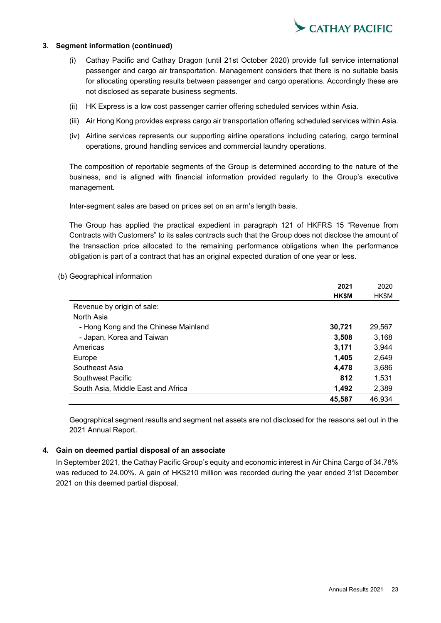

### **3. Segment information (continued)**

- (i) Cathay Pacific and Cathay Dragon (until 21st October 2020) provide full service international passenger and cargo air transportation. Management considers that there is no suitable basis for allocating operating results between passenger and cargo operations. Accordingly these are not disclosed as separate business segments.
- (ii) HK Express is a low cost passenger carrier offering scheduled services within Asia.
- (iii) Air Hong Kong provides express cargo air transportation offering scheduled services within Asia.
- (iv) Airline services represents our supporting airline operations including catering, cargo terminal operations, ground handling services and commercial laundry operations.

The composition of reportable segments of the Group is determined according to the nature of the business, and is aligned with financial information provided regularly to the Group's executive management.

Inter-segment sales are based on prices set on an arm's length basis.

The Group has applied the practical expedient in paragraph 121 of HKFRS 15 "Revenue from Contracts with Customers" to its sales contracts such that the Group does not disclose the amount of the transaction price allocated to the remaining performance obligations when the performance obligation is part of a contract that has an original expected duration of one year or less.

(b) Geographical information

|                                      | 2021         | 2020   |
|--------------------------------------|--------------|--------|
|                                      | <b>HK\$M</b> | HK\$M  |
| Revenue by origin of sale:           |              |        |
| North Asia                           |              |        |
| - Hong Kong and the Chinese Mainland | 30,721       | 29,567 |
| - Japan, Korea and Taiwan            | 3,508        | 3,168  |
| Americas                             | 3,171        | 3,944  |
| Europe                               | 1,405        | 2,649  |
| Southeast Asia                       | 4,478        | 3,686  |
| Southwest Pacific                    | 812          | 1.531  |
| South Asia, Middle East and Africa   | 1,492        | 2,389  |
|                                      | 45.587       | 46,934 |

Geographical segment results and segment net assets are not disclosed for the reasons set out in the 2021 Annual Report.

### **4. Gain on deemed partial disposal of an associate**

In September 2021, the Cathay Pacific Group's equity and economic interest in Air China Cargo of 34.78% was reduced to 24.00%. A gain of HK\$210 million was recorded during the year ended 31st December 2021 on this deemed partial disposal.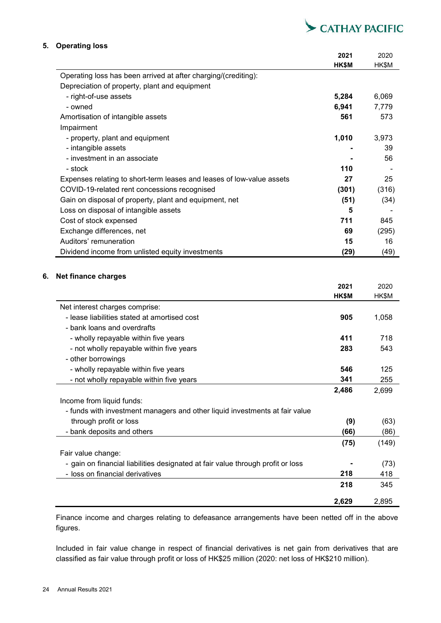

## **5. Operating loss**

|                                                                       | 2021         | 2020  |
|-----------------------------------------------------------------------|--------------|-------|
|                                                                       | <b>HK\$M</b> | HK\$M |
| Operating loss has been arrived at after charging/(crediting):        |              |       |
| Depreciation of property, plant and equipment                         |              |       |
| - right-of-use assets                                                 | 5,284        | 6,069 |
| - owned                                                               | 6,941        | 7,779 |
| Amortisation of intangible assets                                     | 561          | 573   |
| Impairment                                                            |              |       |
| - property, plant and equipment                                       | 1,010        | 3,973 |
| - intangible assets                                                   |              | 39    |
| - investment in an associate                                          |              | 56    |
| - stock                                                               | 110          |       |
| Expenses relating to short-term leases and leases of low-value assets | 27           | 25    |
| COVID-19-related rent concessions recognised                          | (301)        | (316) |
| Gain on disposal of property, plant and equipment, net                | (51)         | (34)  |
| Loss on disposal of intangible assets                                 | 5            |       |
| Cost of stock expensed                                                | 711          | 845   |
| Exchange differences, net                                             | 69           | (295) |
| Auditors' remuneration                                                | 15           | 16    |
| Dividend income from unlisted equity investments                      | (29)         | (49)  |

### **6. Net finance charges**

|                                                                                 | 2021  | 2020  |
|---------------------------------------------------------------------------------|-------|-------|
|                                                                                 | HK\$M | HK\$M |
| Net interest charges comprise:                                                  |       |       |
| - lease liabilities stated at amortised cost                                    | 905   | 1,058 |
| - bank loans and overdrafts                                                     |       |       |
| - wholly repayable within five years                                            | 411   | 718   |
| - not wholly repayable within five years                                        | 283   | 543   |
| - other borrowings                                                              |       |       |
| - wholly repayable within five years                                            | 546   | 125   |
| - not wholly repayable within five years                                        | 341   | 255   |
|                                                                                 | 2,486 | 2,699 |
| Income from liquid funds:                                                       |       |       |
| - funds with investment managers and other liquid investments at fair value     |       |       |
| through profit or loss                                                          | (9)   | (63)  |
| - bank deposits and others                                                      | (66)  | (86)  |
|                                                                                 | (75)  | (149) |
| Fair value change:                                                              |       |       |
| - gain on financial liabilities designated at fair value through profit or loss |       | (73)  |
| - loss on financial derivatives                                                 | 218   | 418   |
|                                                                                 | 218   | 345   |
|                                                                                 | 2,629 | 2,895 |

Finance income and charges relating to defeasance arrangements have been netted off in the above figures.

Included in fair value change in respect of financial derivatives is net gain from derivatives that are classified as fair value through profit or loss of HK\$25 million (2020: net loss of HK\$210 million).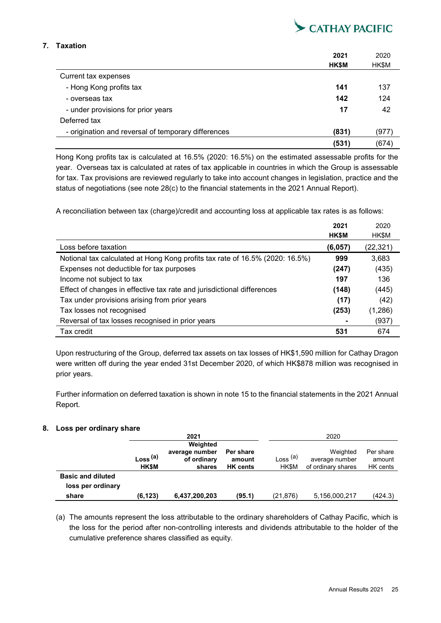

## **7. Taxation**

|                                                     | 2021         | 2020  |
|-----------------------------------------------------|--------------|-------|
|                                                     | <b>HK\$M</b> | HK\$M |
| Current tax expenses                                |              |       |
| - Hong Kong profits tax                             | 141          | 137   |
| - overseas tax                                      | 142          | 124   |
| - under provisions for prior years                  | 17           | 42    |
| Deferred tax                                        |              |       |
| - origination and reversal of temporary differences | (831)        | (977) |
|                                                     | (531)        | (674) |

Hong Kong profits tax is calculated at 16.5% (2020: 16.5%) on the estimated assessable profits for the year. Overseas tax is calculated at rates of tax applicable in countries in which the Group is assessable for tax. Tax provisions are reviewed regularly to take into account changes in legislation, practice and the status of negotiations (see note 28(c) to the financial statements in the 2021 Annual Report).

A reconciliation between tax (charge)/credit and accounting loss at applicable tax rates is as follows:

|                                                                              | 2021         | 2020     |
|------------------------------------------------------------------------------|--------------|----------|
|                                                                              | <b>HK\$M</b> | HK\$M    |
| Loss before taxation                                                         | (6,057)      | (22,321) |
| Notional tax calculated at Hong Kong profits tax rate of 16.5% (2020: 16.5%) | 999          | 3,683    |
| Expenses not deductible for tax purposes                                     | (247)        | (435)    |
| Income not subject to tax                                                    | 197          | 136      |
| Effect of changes in effective tax rate and jurisdictional differences       | (148)        | (445)    |
| Tax under provisions arising from prior years                                | (17)         | (42)     |
| Tax losses not recognised                                                    | (253)        | (1,286)  |
| Reversal of tax losses recognised in prior years                             |              | (937)    |
| Tax credit                                                                   | 531          | 674      |

Upon restructuring of the Group, deferred tax assets on tax losses of HK\$1,590 million for Cathay Dragon were written off during the year ended 31st December 2020, of which HK\$878 million was recognised in prior years.

Further information on deferred taxation is shown in note 15 to the financial statements in the 2021 Annual Report.

## **8. Loss per ordinary share**

|                          |                                     | 2021                                                |                                        | 2020                               |                                                  |                                 |
|--------------------------|-------------------------------------|-----------------------------------------------------|----------------------------------------|------------------------------------|--------------------------------------------------|---------------------------------|
|                          | Loss <sup>(a)</sup><br><b>HK\$M</b> | Weighted<br>average number<br>of ordinary<br>shares | Per share<br>amount<br><b>HK</b> cents | Loss <sup>(a)</sup><br><b>HKSM</b> | Weighted<br>average number<br>of ordinary shares | Per share<br>amount<br>HK cents |
| <b>Basic and diluted</b> |                                     |                                                     |                                        |                                    |                                                  |                                 |
| loss per ordinary        |                                     |                                                     |                                        |                                    |                                                  |                                 |
| share                    | (6, 123)                            | 6,437,200,203                                       | (95.1)                                 | (21,876)                           | 5,156,000,217                                    | (424.3)                         |

(a) The amounts represent the loss attributable to the ordinary shareholders of Cathay Pacific, which is the loss for the period after non-controlling interests and dividends attributable to the holder of the cumulative preference shares classified as equity.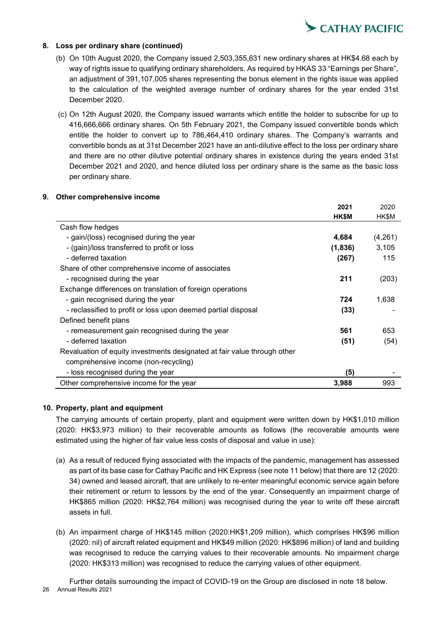

### **8. Loss per ordinary share (continued)**

- (b) On 10th August 2020, the Company issued 2,503,355,631 new ordinary shares at HK\$4.68 each by way of rights issue to qualifying ordinary shareholders. As required by HKAS 33 "Earnings per Share", an adjustment of 391,107,005 shares representing the bonus element in the rights issue was applied to the calculation of the weighted average number of ordinary shares for the year ended 31st December 2020.
- (c) On 12th August 2020, the Company issued warrants which entitle the holder to subscribe for up to 416,666,666 ordinary shares. On 5th February 2021, the Company issued convertible bonds which entitle the holder to convert up to 786,464,410 ordinary shares. The Company's warrants and convertible bonds as at 31st December 2021 have an anti-dilutive effect to the loss per ordinary share and there are no other dilutive potential ordinary shares in existence during the years ended 31st December 2021 and 2020, and hence diluted loss per ordinary share is the same as the basic loss per ordinary share.

### **9. Other comprehensive income**

|                                                                          | 2021    | 2020    |
|--------------------------------------------------------------------------|---------|---------|
|                                                                          | HK\$M   | HK\$M   |
| Cash flow hedges                                                         |         |         |
| - gain/(loss) recognised during the year                                 | 4,684   | (4,261) |
| - (gain)/loss transferred to profit or loss                              | (1,836) | 3,105   |
| - deferred taxation                                                      | (267)   | 115     |
| Share of other comprehensive income of associates                        |         |         |
| - recognised during the year                                             | 211     | (203)   |
| Exchange differences on translation of foreign operations                |         |         |
| - gain recognised during the year                                        | 724     | 1,638   |
| - reclassified to profit or loss upon deemed partial disposal            | (33)    |         |
| Defined benefit plans                                                    |         |         |
| - remeasurement gain recognised during the year                          | 561     | 653     |
| - deferred taxation                                                      | (51)    | (54)    |
| Revaluation of equity investments designated at fair value through other |         |         |
| comprehensive income (non-recycling)                                     |         |         |
| - loss recognised during the year                                        | (5)     |         |
| Other comprehensive income for the year                                  | 3,988   | 993     |

### **10. Property, plant and equipment**

The carrying amounts of certain property, plant and equipment were written down by HK\$1,010 million (2020: HK\$3,973 million) to their recoverable amounts as follows (the recoverable amounts were estimated using the higher of fair value less costs of disposal and value in use):

- (a) As a result of reduced flying associated with the impacts of the pandemic, management has assessed as part of its base case for Cathay Pacific and HK Express (see note 11 below) that there are 12 (2020: 34) owned and leased aircraft, that are unlikely to re-enter meaningful economic service again before their retirement or return to lessors by the end of the year. Consequently an impairment charge of HK\$865 million (2020: HK\$2,764 million) was recognised during the year to write off these aircraft assets in full.
- (b) An impairment charge of HK\$145 million (2020:HK\$1,209 million), which comprises HK\$96 million (2020: nil) of aircraft related equipment and HK\$49 million (2020: HK\$896 million) of land and building was recognised to reduce the carrying values to their recoverable amounts. No impairment charge (2020: HK\$313 million) was recognised to reduce the carrying values of other equipment.

26 Annual Results 2021 Further details surrounding the impact of COVID-19 on the Group are disclosed in note 18 below.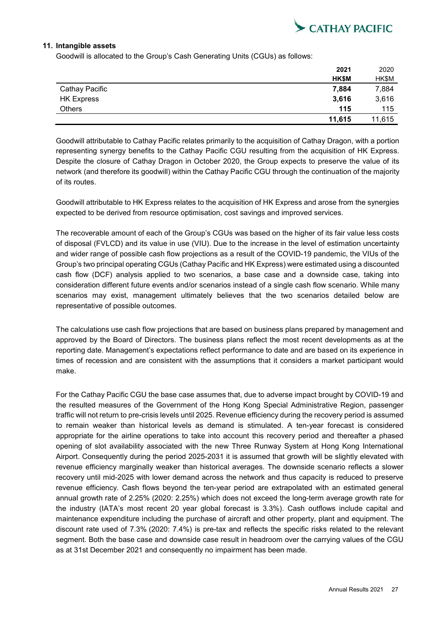

### **11. Intangible assets**

Goodwill is allocated to the Group's Cash Generating Units (CGUs) as follows:

|                   | 2021         | 2020   |
|-------------------|--------------|--------|
|                   | <b>HK\$M</b> | HK\$M  |
| Cathay Pacific    | 7,884        | 7,884  |
| <b>HK Express</b> | 3,616        | 3,616  |
| <b>Others</b>     | 115          | 115    |
|                   | 11,615       | 11,615 |

Goodwill attributable to Cathay Pacific relates primarily to the acquisition of Cathay Dragon, with a portion representing synergy benefits to the Cathay Pacific CGU resulting from the acquisition of HK Express. Despite the closure of Cathay Dragon in October 2020, the Group expects to preserve the value of its network (and therefore its goodwill) within the Cathay Pacific CGU through the continuation of the majority of its routes.

Goodwill attributable to HK Express relates to the acquisition of HK Express and arose from the synergies expected to be derived from resource optimisation, cost savings and improved services.

The recoverable amount of each of the Group's CGUs was based on the higher of its fair value less costs of disposal (FVLCD) and its value in use (VIU). Due to the increase in the level of estimation uncertainty and wider range of possible cash flow projections as a result of the COVID-19 pandemic, the VIUs of the Group's two principal operating CGUs (Cathay Pacific and HK Express) were estimated using a discounted cash flow (DCF) analysis applied to two scenarios, a base case and a downside case, taking into consideration different future events and/or scenarios instead of a single cash flow scenario. While many scenarios may exist, management ultimately believes that the two scenarios detailed below are representative of possible outcomes.

The calculations use cash flow projections that are based on business plans prepared by management and approved by the Board of Directors. The business plans reflect the most recent developments as at the reporting date. Management's expectations reflect performance to date and are based on its experience in times of recession and are consistent with the assumptions that it considers a market participant would make.

For the Cathay Pacific CGU the base case assumes that, due to adverse impact brought by COVID-19 and the resulted measures of the Government of the Hong Kong Special Administrative Region, passenger traffic will not return to pre-crisis levels until 2025. Revenue efficiency during the recovery period is assumed to remain weaker than historical levels as demand is stimulated. A ten-year forecast is considered appropriate for the airline operations to take into account this recovery period and thereafter a phased opening of slot availability associated with the new Three Runway System at Hong Kong International Airport. Consequently during the period 2025-2031 it is assumed that growth will be slightly elevated with revenue efficiency marginally weaker than historical averages. The downside scenario reflects a slower recovery until mid-2025 with lower demand across the network and thus capacity is reduced to preserve revenue efficiency. Cash flows beyond the ten-year period are extrapolated with an estimated general annual growth rate of 2.25% (2020: 2.25%) which does not exceed the long-term average growth rate for the industry (IATA's most recent 20 year global forecast is 3.3%). Cash outflows include capital and maintenance expenditure including the purchase of aircraft and other property, plant and equipment. The discount rate used of 7.3% (2020: 7.4%) is pre-tax and reflects the specific risks related to the relevant segment. Both the base case and downside case result in headroom over the carrying values of the CGU as at 31st December 2021 and consequently no impairment has been made.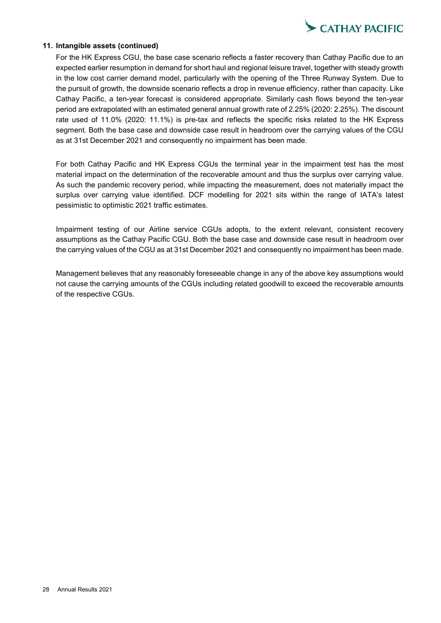

### **11. Intangible assets (continued)**

For the HK Express CGU, the base case scenario reflects a faster recovery than Cathay Pacific due to an expected earlier resumption in demand for short haul and regional leisure travel, together with steady growth in the low cost carrier demand model, particularly with the opening of the Three Runway System. Due to the pursuit of growth, the downside scenario reflects a drop in revenue efficiency, rather than capacity. Like Cathay Pacific, a ten-year forecast is considered appropriate. Similarly cash flows beyond the ten-year period are extrapolated with an estimated general annual growth rate of 2.25% (2020: 2.25%). The discount rate used of 11.0% (2020: 11.1%) is pre-tax and reflects the specific risks related to the HK Express segment. Both the base case and downside case result in headroom over the carrying values of the CGU as at 31st December 2021 and consequently no impairment has been made.

For both Cathay Pacific and HK Express CGUs the terminal year in the impairment test has the most material impact on the determination of the recoverable amount and thus the surplus over carrying value. As such the pandemic recovery period, while impacting the measurement, does not materially impact the surplus over carrying value identified. DCF modelling for 2021 sits within the range of IATA's latest pessimistic to optimistic 2021 traffic estimates.

Impairment testing of our Airline service CGUs adopts, to the extent relevant, consistent recovery assumptions as the Cathay Pacific CGU. Both the base case and downside case result in headroom over the carrying values of the CGU as at 31st December 2021 and consequently no impairment has been made.

Management believes that any reasonably foreseeable change in any of the above key assumptions would not cause the carrying amounts of the CGUs including related goodwill to exceed the recoverable amounts of the respective CGUs.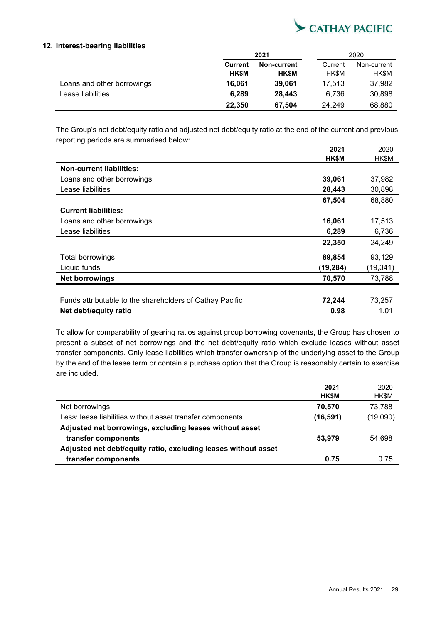

### **12. Interest-bearing liabilities**

|                            | 2021           |              | 2020         |         |             |
|----------------------------|----------------|--------------|--------------|---------|-------------|
|                            | <b>Current</b> | Non-current  |              | Current | Non-current |
|                            | <b>HK\$M</b>   | <b>HK\$M</b> | <b>HK\$M</b> | HK\$M   |             |
| Loans and other borrowings | 16.061         | 39,061       | 17.513       | 37,982  |             |
| Lease liabilities          | 6.289          | 28.443       | 6.736        | 30,898  |             |
|                            | 22,350         | 67,504       | 24.249       | 68,880  |             |

The Group's net debt/equity ratio and adjusted net debt/equity ratio at the end of the current and previous reporting periods are summarised below:

|                                                          | 2021     | 2020      |
|----------------------------------------------------------|----------|-----------|
|                                                          | HK\$M    | HK\$M     |
| <b>Non-current liabilities:</b>                          |          |           |
| Loans and other borrowings                               | 39,061   | 37,982    |
| Lease liabilities                                        | 28,443   | 30,898    |
|                                                          | 67,504   | 68,880    |
| <b>Current liabilities:</b>                              |          |           |
| Loans and other borrowings                               | 16,061   | 17,513    |
| Lease liabilities                                        | 6,289    | 6,736     |
|                                                          | 22,350   | 24,249    |
| <b>Total borrowings</b>                                  | 89,854   | 93,129    |
| Liquid funds                                             | (19,284) | (19, 341) |
| <b>Net borrowings</b>                                    | 70,570   | 73,788    |
|                                                          |          |           |
| Funds attributable to the shareholders of Cathay Pacific | 72,244   | 73,257    |
| Net debt/equity ratio                                    | 0.98     | 1.01      |

To allow for comparability of gearing ratios against group borrowing covenants, the Group has chosen to present a subset of net borrowings and the net debt/equity ratio which exclude leases without asset transfer components. Only lease liabilities which transfer ownership of the underlying asset to the Group by the end of the lease term or contain a purchase option that the Group is reasonably certain to exercise are included.

|                                                                | 2021         | 2020     |
|----------------------------------------------------------------|--------------|----------|
|                                                                | <b>HK\$M</b> | HK\$M    |
| Net borrowings                                                 | 70,570       | 73,788   |
| Less: lease liabilities without asset transfer components      | (16, 591)    | (19,090) |
| Adjusted net borrowings, excluding leases without asset        |              |          |
| transfer components                                            | 53,979       | 54.698   |
| Adjusted net debt/equity ratio, excluding leases without asset |              |          |
| transfer components                                            | 0.75         | 0.75     |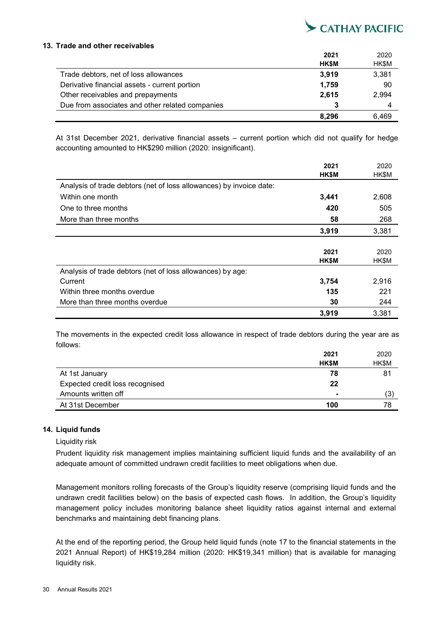

### **13. Trade and other receivables**

|                                                 | 2021         | 2020  |
|-------------------------------------------------|--------------|-------|
|                                                 | <b>HK\$M</b> | HK\$M |
| Trade debtors, net of loss allowances           | 3,919        | 3,381 |
| Derivative financial assets - current portion   | 1,759        | 90    |
| Other receivables and prepayments               | 2.615        | 2,994 |
| Due from associates and other related companies |              | 4     |
|                                                 | 8.296        | 6.469 |

At 31st December 2021, derivative financial assets – current portion which did not qualify for hedge accounting amounted to HK\$290 million (2020: insignificant).

|                                                                     | 2021         | 2020  |
|---------------------------------------------------------------------|--------------|-------|
|                                                                     | HK\$M        | HK\$M |
| Analysis of trade debtors (net of loss allowances) by invoice date: |              |       |
| Within one month                                                    | 3,441        | 2,608 |
| One to three months                                                 | 420          | 505   |
| More than three months                                              | 58           | 268   |
|                                                                     | 3,919        | 3,381 |
|                                                                     |              |       |
|                                                                     | 2021         | 2020  |
|                                                                     | <b>HK\$M</b> | HK\$M |
| Analysis of trade debtors (net of loss allowances) by age:          |              |       |
| Current                                                             | 3,754        | 2,916 |
| Within three months overdue                                         | 135          | 221   |
| More than three months overdue                                      | 30           | 244   |
|                                                                     | 3,919        | 3,381 |

The movements in the expected credit loss allowance in respect of trade debtors during the year are as follows:

|                                 | 2021         | 2020  |
|---------------------------------|--------------|-------|
|                                 | <b>HK\$M</b> | HK\$M |
| At 1st January                  | 78           | 81    |
| Expected credit loss recognised | 22           |       |
| Amounts written off             |              | (3)   |
| At 31st December                | 100          | 78    |

### **14. Liquid funds**

### Liquidity risk

Prudent liquidity risk management implies maintaining sufficient liquid funds and the availability of an adequate amount of committed undrawn credit facilities to meet obligations when due.

Management monitors rolling forecasts of the Group's liquidity reserve (comprising liquid funds and the undrawn credit facilities below) on the basis of expected cash flows. In addition, the Group's liquidity management policy includes monitoring balance sheet liquidity ratios against internal and external benchmarks and maintaining debt financing plans.

At the end of the reporting period, the Group held liquid funds (note 17 to the financial statements in the 2021 Annual Report) of HK\$19,284 million (2020: HK\$19,341 million) that is available for managing liquidity risk.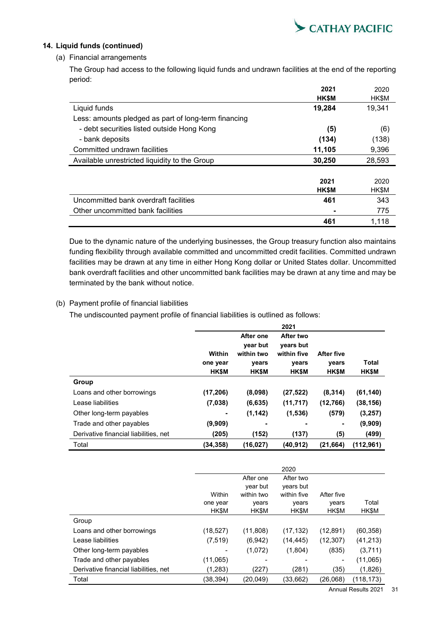

## **14. Liquid funds (continued)**

## (a) Financial arrangements

The Group had access to the following liquid funds and undrawn facilities at the end of the reporting period:

|                                                      | 2021         | 2020   |
|------------------------------------------------------|--------------|--------|
|                                                      | <b>HK\$M</b> | HK\$M  |
| Liquid funds                                         | 19,284       | 19,341 |
| Less: amounts pledged as part of long-term financing |              |        |
| - debt securities listed outside Hong Kong           | (5)          | (6)    |
| - bank deposits                                      | (134)        | (138)  |
| Committed undrawn facilities                         | 11,105       | 9,396  |
| Available unrestricted liquidity to the Group        | 30,250       | 28,593 |
|                                                      |              |        |
|                                                      | 2021         | 2020   |
|                                                      | <b>HK\$M</b> | HK\$M  |
| Uncommitted bank overdraft facilities                | 461          | 343    |
| Other uncommitted bank facilities                    |              | 775    |
|                                                      | 461          | 1,118  |

Due to the dynamic nature of the underlying businesses, the Group treasury function also maintains funding flexibility through available committed and uncommitted credit facilities. Committed undrawn facilities may be drawn at any time in either Hong Kong dollar or United States dollar. Uncommitted bank overdraft facilities and other uncommitted bank facilities may be drawn at any time and may be terminated by the bank without notice.

## (b) Payment profile of financial liabilities

The undiscounted payment profile of financial liabilities is outlined as follows:

|                                       |              |                       | 2021                   |              |              |
|---------------------------------------|--------------|-----------------------|------------------------|--------------|--------------|
|                                       |              | After one<br>year but | After two<br>years but |              |              |
|                                       | Within       | within two            | within five            | After five   |              |
|                                       | one year     | years                 | years                  | years        | <b>Total</b> |
|                                       | <b>HK\$M</b> | <b>HK\$M</b>          | <b>HK\$M</b>           | <b>HK\$M</b> | <b>HK\$M</b> |
| Group                                 |              |                       |                        |              |              |
| Loans and other borrowings            | (17, 206)    | (8,098)               | (27, 522)              | (8,314)      | (61, 140)    |
| Lease liabilities                     | (7,038)      | (6, 635)              | (11, 717)              | (12,766)     | (38, 156)    |
| Other long-term payables              | ٠            | (1, 142)              | (1,536)                | (579)        | (3, 257)     |
| Trade and other payables              | (9,909)      |                       |                        | ٠            | (9,909)      |
| Derivative financial liabilities, net | (205)        | (152)                 | (137)                  | (5)          | (499)        |
| Total                                 | (34,358)     | (16, 027)             | (40, 912)              | (21, 664)    | (112, 961)   |

| After one<br>After two<br>year but<br>years but<br>within two<br>Within<br>within five<br>After five<br>Total<br>vears<br>one year<br>vears<br>years<br><b>HK\$M</b><br><b>HKSM</b><br><b>HKSM</b><br><b>HK\$M</b><br>HK\$M<br>Group<br>(11,808)<br>Loans and other borrowings<br>(17, 132)<br>(12,891)<br>(18, 527)<br>(60, 358)<br>Lease liabilities<br>(7, 519)<br>(6,942)<br>(12, 307)<br>(41, 213)<br>(14, 445)<br>(1,072)<br>(1,804)<br>(835)<br>(3,711)<br>Other long-term payables<br>Trade and other payables<br>(11,065)<br>(11,065)<br>Derivative financial liabilities, net<br>(1,283)<br>(227)<br>(281)<br>(35)<br>(1,826)<br>Total |          |          | 2020      |          |            |
|--------------------------------------------------------------------------------------------------------------------------------------------------------------------------------------------------------------------------------------------------------------------------------------------------------------------------------------------------------------------------------------------------------------------------------------------------------------------------------------------------------------------------------------------------------------------------------------------------------------------------------------------------|----------|----------|-----------|----------|------------|
|                                                                                                                                                                                                                                                                                                                                                                                                                                                                                                                                                                                                                                                  |          |          |           |          |            |
|                                                                                                                                                                                                                                                                                                                                                                                                                                                                                                                                                                                                                                                  |          |          |           |          |            |
|                                                                                                                                                                                                                                                                                                                                                                                                                                                                                                                                                                                                                                                  |          |          |           |          |            |
|                                                                                                                                                                                                                                                                                                                                                                                                                                                                                                                                                                                                                                                  |          |          |           |          |            |
|                                                                                                                                                                                                                                                                                                                                                                                                                                                                                                                                                                                                                                                  |          |          |           |          |            |
|                                                                                                                                                                                                                                                                                                                                                                                                                                                                                                                                                                                                                                                  |          |          |           |          |            |
|                                                                                                                                                                                                                                                                                                                                                                                                                                                                                                                                                                                                                                                  |          |          |           |          |            |
|                                                                                                                                                                                                                                                                                                                                                                                                                                                                                                                                                                                                                                                  |          |          |           |          |            |
|                                                                                                                                                                                                                                                                                                                                                                                                                                                                                                                                                                                                                                                  |          |          |           |          |            |
|                                                                                                                                                                                                                                                                                                                                                                                                                                                                                                                                                                                                                                                  |          |          |           |          |            |
|                                                                                                                                                                                                                                                                                                                                                                                                                                                                                                                                                                                                                                                  |          |          |           |          |            |
|                                                                                                                                                                                                                                                                                                                                                                                                                                                                                                                                                                                                                                                  | (38,394) | (20,049) | (33, 662) | (26,068) | (118, 173) |

Annual Results 2021 31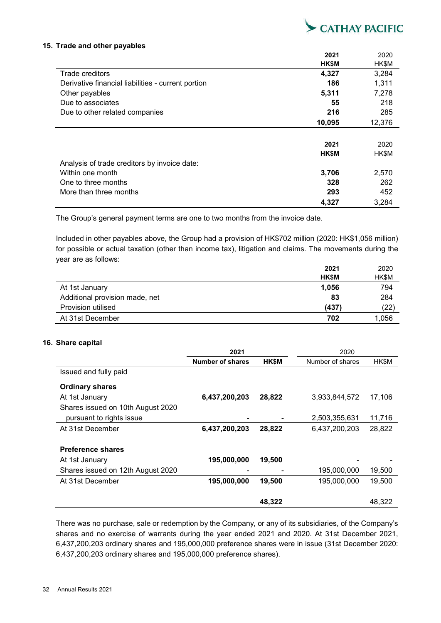

### **15. Trade and other payables**

|                                                    | 2021         | 2020   |
|----------------------------------------------------|--------------|--------|
|                                                    | <b>HK\$M</b> | HK\$M  |
| Trade creditors                                    | 4,327        | 3,284  |
| Derivative financial liabilities - current portion | 186          | 1,311  |
| Other payables                                     | 5,311        | 7,278  |
| Due to associates                                  | 55           | 218    |
| Due to other related companies                     | 216          | 285    |
|                                                    | 10,095       | 12,376 |
|                                                    |              |        |
|                                                    | 2021         | 2020   |
|                                                    | <b>HK\$M</b> | HK\$M  |
| Analysis of trade creditors by invoice date:       |              |        |
| Within one month                                   | 3,706        | 2,570  |
| One to three months                                | 328          | 262    |
| More than three months                             | 293          | 452    |
|                                                    | 4,327        | 3,284  |

The Group's general payment terms are one to two months from the invoice date.

Included in other payables above, the Group had a provision of HK\$702 million (2020: HK\$1,056 million) for possible or actual taxation (other than income tax), litigation and claims. The movements during the year are as follows:

|                                | 2021         | 2020         |
|--------------------------------|--------------|--------------|
|                                | <b>HK\$M</b> | <b>HK\$M</b> |
| At 1st January                 | 1.056        | 794          |
| Additional provision made, net | 83           | 284          |
| Provision utilised             | (437)        | (22)         |
| At 31st December               | 702          | 1,056        |

### **16. Share capital**

|                                   | 2021             |        | 2020             |        |  |
|-----------------------------------|------------------|--------|------------------|--------|--|
|                                   | Number of shares | HK\$M  | Number of shares | HK\$M  |  |
| Issued and fully paid             |                  |        |                  |        |  |
| <b>Ordinary shares</b>            |                  |        |                  |        |  |
| At 1st January                    | 6,437,200,203    | 28,822 | 3,933,844,572    | 17,106 |  |
| Shares issued on 10th August 2020 |                  |        |                  |        |  |
| pursuant to rights issue          |                  |        | 2,503,355,631    | 11,716 |  |
| At 31st December                  | 6,437,200,203    | 28,822 | 6,437,200,203    | 28,822 |  |
|                                   |                  |        |                  |        |  |
| <b>Preference shares</b>          |                  |        |                  |        |  |
| At 1st January                    | 195,000,000      | 19,500 |                  |        |  |
| Shares issued on 12th August 2020 |                  |        | 195,000,000      | 19,500 |  |
| At 31st December                  | 195,000,000      | 19,500 | 195,000,000      | 19,500 |  |
|                                   |                  |        |                  |        |  |
|                                   |                  | 48,322 |                  | 48,322 |  |

There was no purchase, sale or redemption by the Company, or any of its subsidiaries, of the Company's shares and no exercise of warrants during the year ended 2021 and 2020. At 31st December 2021, 6,437,200,203 ordinary shares and 195,000,000 preference shares were in issue (31st December 2020: 6,437,200,203 ordinary shares and 195,000,000 preference shares).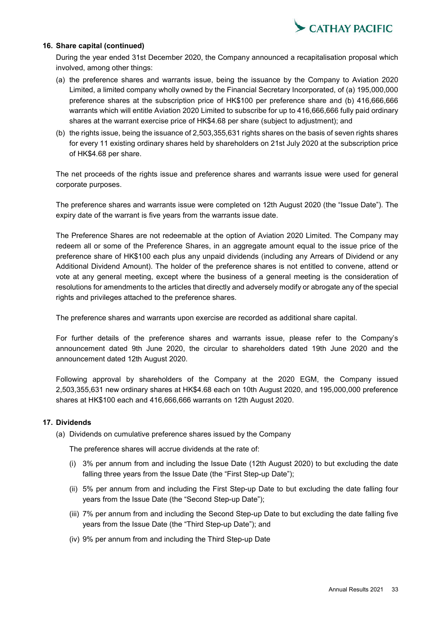

### **16. Share capital (continued)**

During the year ended 31st December 2020, the Company announced a recapitalisation proposal which involved, among other things:

- (a) the preference shares and warrants issue, being the issuance by the Company to Aviation 2020 Limited, a limited company wholly owned by the Financial Secretary Incorporated, of (a) 195,000,000 preference shares at the subscription price of HK\$100 per preference share and (b) 416,666,666 warrants which will entitle Aviation 2020 Limited to subscribe for up to 416,666,666 fully paid ordinary shares at the warrant exercise price of HK\$4.68 per share (subject to adjustment); and
- (b) the rights issue, being the issuance of 2,503,355,631 rights shares on the basis of seven rights shares for every 11 existing ordinary shares held by shareholders on 21st July 2020 at the subscription price of HK\$4.68 per share.

The net proceeds of the rights issue and preference shares and warrants issue were used for general corporate purposes.

The preference shares and warrants issue were completed on 12th August 2020 (the "Issue Date"). The expiry date of the warrant is five years from the warrants issue date.

The Preference Shares are not redeemable at the option of Aviation 2020 Limited. The Company may redeem all or some of the Preference Shares, in an aggregate amount equal to the issue price of the preference share of HK\$100 each plus any unpaid dividends (including any Arrears of Dividend or any Additional Dividend Amount). The holder of the preference shares is not entitled to convene, attend or vote at any general meeting, except where the business of a general meeting is the consideration of resolutions for amendments to the articles that directly and adversely modify or abrogate any of the special rights and privileges attached to the preference shares.

The preference shares and warrants upon exercise are recorded as additional share capital.

For further details of the preference shares and warrants issue, please refer to the Company's announcement dated 9th June 2020, the circular to shareholders dated 19th June 2020 and the announcement dated 12th August 2020.

Following approval by shareholders of the Company at the 2020 EGM, the Company issued 2,503,355,631 new ordinary shares at HK\$4.68 each on 10th August 2020, and 195,000,000 preference shares at HK\$100 each and 416,666,666 warrants on 12th August 2020.

## **17. Dividends**

(a) Dividends on cumulative preference shares issued by the Company

The preference shares will accrue dividends at the rate of:

- (i) 3% per annum from and including the Issue Date (12th August 2020) to but excluding the date falling three years from the Issue Date (the "First Step-up Date"):
- (ii) 5% per annum from and including the First Step-up Date to but excluding the date falling four years from the Issue Date (the "Second Step-up Date");
- (iii) 7% per annum from and including the Second Step-up Date to but excluding the date falling five years from the Issue Date (the "Third Step-up Date"); and
- (iv) 9% per annum from and including the Third Step-up Date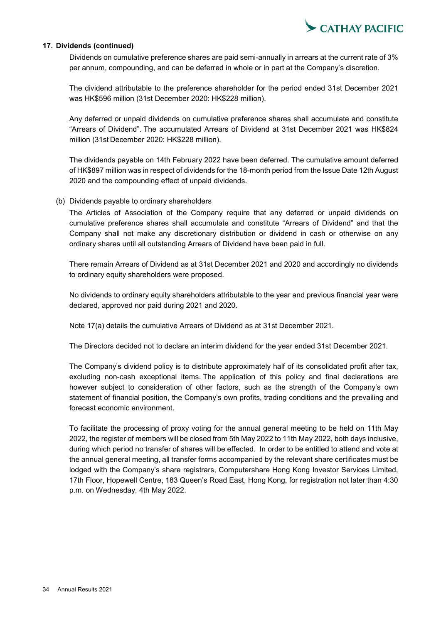

### **17. Dividends (continued)**

Dividends on cumulative preference shares are paid semi-annually in arrears at the current rate of 3% per annum, compounding, and can be deferred in whole or in part at the Company's discretion.

The dividend attributable to the preference shareholder for the period ended 31st December 2021 was HK\$596 million (31st December 2020: HK\$228 million).

Any deferred or unpaid dividends on cumulative preference shares shall accumulate and constitute "Arrears of Dividend". The accumulated Arrears of Dividend at 31st December 2021 was HK\$824 million (31st December 2020: HK\$228 million).

The dividends payable on 14th February 2022 have been deferred. The cumulative amount deferred of HK\$897 million was in respect of dividends for the 18-month period from the Issue Date 12th August 2020 and the compounding effect of unpaid dividends.

### (b) Dividends payable to ordinary shareholders

The Articles of Association of the Company require that any deferred or unpaid dividends on cumulative preference shares shall accumulate and constitute "Arrears of Dividend" and that the Company shall not make any discretionary distribution or dividend in cash or otherwise on any ordinary shares until all outstanding Arrears of Dividend have been paid in full.

There remain Arrears of Dividend as at 31st December 2021 and 2020 and accordingly no dividends to ordinary equity shareholders were proposed.

No dividends to ordinary equity shareholders attributable to the year and previous financial year were declared, approved nor paid during 2021 and 2020.

Note 17(a) details the cumulative Arrears of Dividend as at 31st December 2021.

The Directors decided not to declare an interim dividend for the year ended 31st December 2021.

The Company's dividend policy is to distribute approximately half of its consolidated profit after tax, excluding non-cash exceptional items. The application of this policy and final declarations are however subject to consideration of other factors, such as the strength of the Company's own statement of financial position, the Company's own profits, trading conditions and the prevailing and forecast economic environment.

To facilitate the processing of proxy voting for the annual general meeting to be held on 11th May 2022, the register of members will be closed from 5th May 2022 to 11th May 2022, both days inclusive, during which period no transfer of shares will be effected. In order to be entitled to attend and vote at the annual general meeting, all transfer forms accompanied by the relevant share certificates must be lodged with the Company's share registrars, Computershare Hong Kong Investor Services Limited, 17th Floor, Hopewell Centre, 183 Queen's Road East, Hong Kong, for registration not later than 4:30 p.m. on Wednesday, 4th May 2022.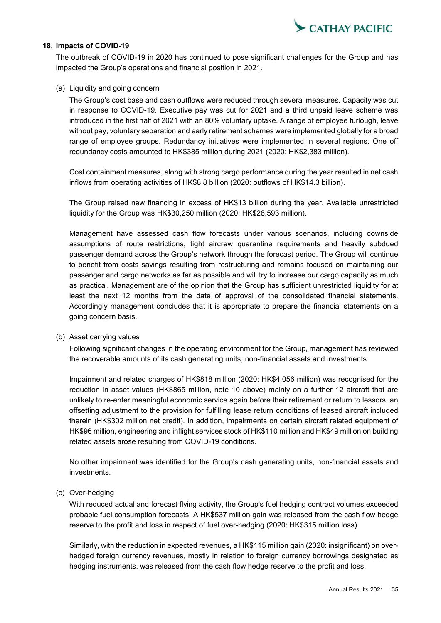

### **18. Impacts of COVID-19**

The outbreak of COVID-19 in 2020 has continued to pose significant challenges for the Group and has impacted the Group's operations and financial position in 2021.

### (a) Liquidity and going concern

The Group's cost base and cash outflows were reduced through several measures. Capacity was cut in response to COVID-19. Executive pay was cut for 2021 and a third unpaid leave scheme was introduced in the first half of 2021 with an 80% voluntary uptake. A range of employee furlough, leave without pay, voluntary separation and early retirement schemes were implemented globally for a broad range of employee groups. Redundancy initiatives were implemented in several regions. One off redundancy costs amounted to HK\$385 million during 2021 (2020: HK\$2,383 million).

Cost containment measures, along with strong cargo performance during the year resulted in net cash inflows from operating activities of HK\$8.8 billion (2020: outflows of HK\$14.3 billion).

The Group raised new financing in excess of HK\$13 billion during the year. Available unrestricted liquidity for the Group was HK\$30,250 million (2020: HK\$28,593 million).

Management have assessed cash flow forecasts under various scenarios, including downside assumptions of route restrictions, tight aircrew quarantine requirements and heavily subdued passenger demand across the Group's network through the forecast period. The Group will continue to benefit from costs savings resulting from restructuring and remains focused on maintaining our passenger and cargo networks as far as possible and will try to increase our cargo capacity as much as practical. Management are of the opinion that the Group has sufficient unrestricted liquidity for at least the next 12 months from the date of approval of the consolidated financial statements. Accordingly management concludes that it is appropriate to prepare the financial statements on a going concern basis.

#### (b) Asset carrying values

Following significant changes in the operating environment for the Group, management has reviewed the recoverable amounts of its cash generating units, non-financial assets and investments.

Impairment and related charges of HK\$818 million (2020: HK\$4,056 million) was recognised for the reduction in asset values (HK\$865 million, note 10 above) mainly on a further 12 aircraft that are unlikely to re-enter meaningful economic service again before their retirement or return to lessors, an offsetting adjustment to the provision for fulfilling lease return conditions of leased aircraft included therein (HK\$302 million net credit). In addition, impairments on certain aircraft related equipment of HK\$96 million, engineering and inflight services stock of HK\$110 million and HK\$49 million on building related assets arose resulting from COVID-19 conditions.

No other impairment was identified for the Group's cash generating units, non-financial assets and investments.

### (c) Over-hedging

With reduced actual and forecast flying activity, the Group's fuel hedging contract volumes exceeded probable fuel consumption forecasts. A HK\$537 million gain was released from the cash flow hedge reserve to the profit and loss in respect of fuel over-hedging (2020: HK\$315 million loss).

Similarly, with the reduction in expected revenues, a HK\$115 million gain (2020: insignificant) on overhedged foreign currency revenues, mostly in relation to foreign currency borrowings designated as hedging instruments, was released from the cash flow hedge reserve to the profit and loss.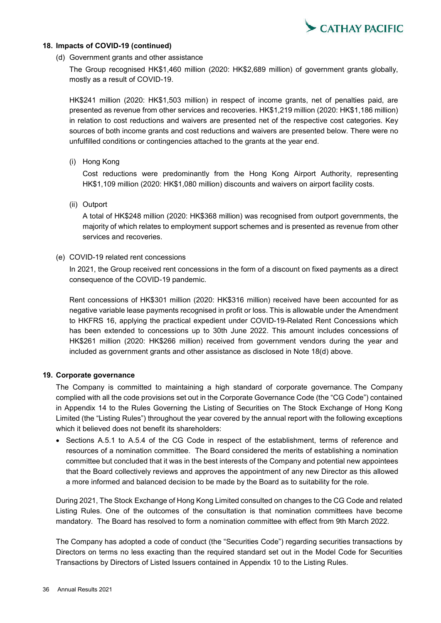

### **18. Impacts of COVID-19 (continued)**

### (d) Government grants and other assistance

The Group recognised HK\$1,460 million (2020: HK\$2,689 million) of government grants globally, mostly as a result of COVID-19.

HK\$241 million (2020: HK\$1,503 million) in respect of income grants, net of penalties paid, are presented as revenue from other services and recoveries. HK\$1,219 million (2020: HK\$1,186 million) in relation to cost reductions and waivers are presented net of the respective cost categories. Key sources of both income grants and cost reductions and waivers are presented below. There were no unfulfilled conditions or contingencies attached to the grants at the year end.

(i) Hong Kong

Cost reductions were predominantly from the Hong Kong Airport Authority, representing HK\$1,109 million (2020: HK\$1,080 million) discounts and waivers on airport facility costs.

(ii) Outport

A total of HK\$248 million (2020: HK\$368 million) was recognised from outport governments, the majority of which relates to employment support schemes and is presented as revenue from other services and recoveries.

### (e) COVID-19 related rent concessions

In 2021, the Group received rent concessions in the form of a discount on fixed payments as a direct consequence of the COVID-19 pandemic.

Rent concessions of HK\$301 million (2020: HK\$316 million) received have been accounted for as negative variable lease payments recognised in profit or loss. This is allowable under the Amendment to HKFRS 16, applying the practical expedient under COVID-19-Related Rent Concessions which has been extended to concessions up to 30th June 2022. This amount includes concessions of HK\$261 million (2020: HK\$266 million) received from government vendors during the year and included as government grants and other assistance as disclosed in Note 18(d) above.

### **19. Corporate governance**

The Company is committed to maintaining a high standard of corporate governance. The Company complied with all the code provisions set out in the Corporate Governance Code (the "CG Code") contained in Appendix 14 to the Rules Governing the Listing of Securities on The Stock Exchange of Hong Kong Limited (the "Listing Rules") throughout the year covered by the annual report with the following exceptions which it believed does not benefit its shareholders:

• Sections A.5.1 to A.5.4 of the CG Code in respect of the establishment, terms of reference and resources of a nomination committee. The Board considered the merits of establishing a nomination committee but concluded that it was in the best interests of the Company and potential new appointees that the Board collectively reviews and approves the appointment of any new Director as this allowed a more informed and balanced decision to be made by the Board as to suitability for the role.

During 2021, The Stock Exchange of Hong Kong Limited consulted on changes to the CG Code and related Listing Rules. One of the outcomes of the consultation is that nomination committees have become mandatory. The Board has resolved to form a nomination committee with effect from 9th March 2022.

The Company has adopted a code of conduct (the "Securities Code") regarding securities transactions by Directors on terms no less exacting than the required standard set out in the Model Code for Securities Transactions by Directors of Listed Issuers contained in Appendix 10 to the Listing Rules.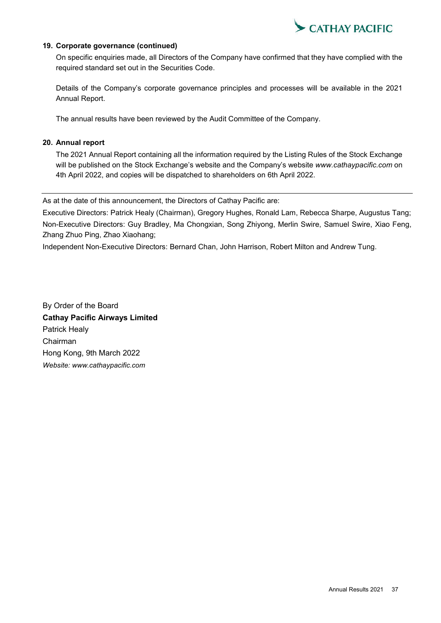

### **19. Corporate governance (continued)**

On specific enquiries made, all Directors of the Company have confirmed that they have complied with the required standard set out in the Securities Code.

Details of the Company's corporate governance principles and processes will be available in the 2021 Annual Report.

The annual results have been reviewed by the Audit Committee of the Company.

## **20. Annual report**

The 2021 Annual Report containing all the information required by the Listing Rules of the Stock Exchange will be published on the Stock Exchange's website and the Company's website *www.cathaypacific.com* on 4th April 2022, and copies will be dispatched to shareholders on 6th April 2022.

As at the date of this announcement, the Directors of Cathay Pacific are:

Executive Directors: Patrick Healy (Chairman), Gregory Hughes, Ronald Lam, Rebecca Sharpe, Augustus Tang; Non-Executive Directors: Guy Bradley, Ma Chongxian, Song Zhiyong, Merlin Swire, Samuel Swire, Xiao Feng, Zhang Zhuo Ping, Zhao Xiaohang;

Independent Non-Executive Directors: Bernard Chan, John Harrison, Robert Milton and Andrew Tung.

By Order of the Board **Cathay Pacific Airways Limited** Patrick Healy Chairman Hong Kong, 9th March 2022 *Website: www.cathaypacific.com*